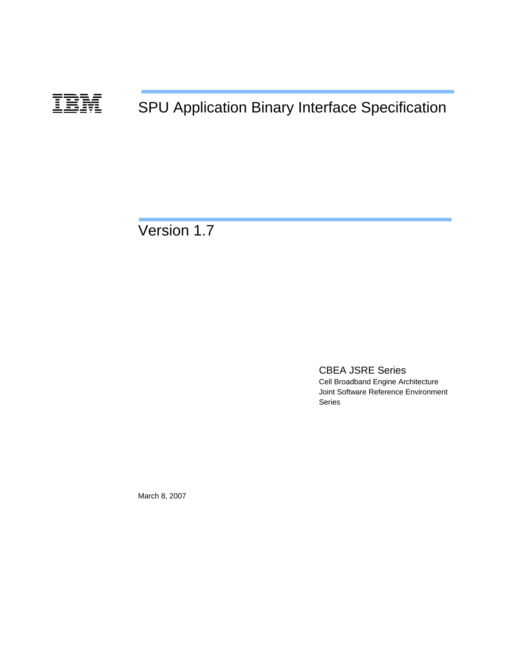## SPU Application Binary Interface Specification **TBM**

Version 1.7

CBEA JSRE Series Cell Broadband Engine Architecture Joint Software Reference Environment Series

March 8, 2007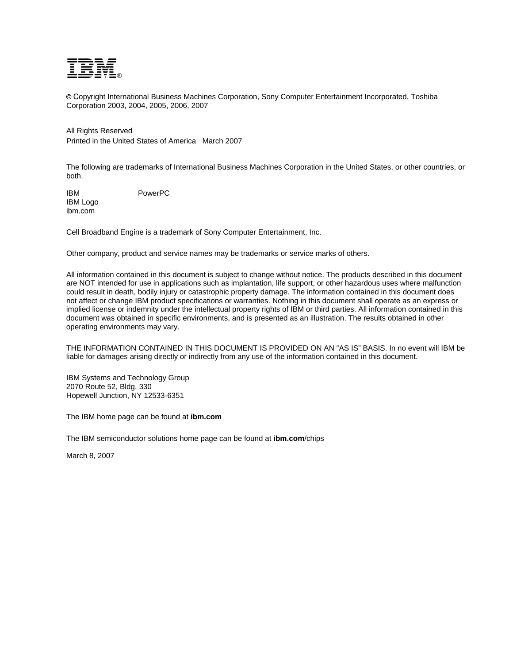

© Copyright International Business Machines Corporation, Sony Computer Entertainment Incorporated, Toshiba Corporation 2003, 2004, 2005, 2006, 2007

All Rights Reserved Printed in the United States of America March 2007

The following are trademarks of International Business Machines Corporation in the United States, or other countries, or both.

IBM PowerPC IBM Logo ibm.com

Cell Broadband Engine is a trademark of Sony Computer Entertainment, Inc.

Other company, product and service names may be trademarks or service marks of others.

All information contained in this document is subject to change without notice. The products described in this document are NOT intended for use in applications such as implantation, life support, or other hazardous uses where malfunction could result in death, bodily injury or catastrophic property damage. The information contained in this document does not affect or change IBM product specifications or warranties. Nothing in this document shall operate as an express or implied license or indemnity under the intellectual property rights of IBM or third parties. All information contained in this document was obtained in specific environments, and is presented as an illustration. The results obtained in other operating environments may vary.

THE INFORMATION CONTAINED IN THIS DOCUMENT IS PROVIDED ON AN "AS IS" BASIS. In no event will IBM be liable for damages arising directly or indirectly from any use of the information contained in this document.

IBM Systems and Technology Group 2070 Route 52, Bldg. 330 Hopewell Junction, NY 12533-6351

The IBM home page can be found at **ibm.com**

The IBM semiconductor solutions home page can be found at **ibm.com**/chips

March 8, 2007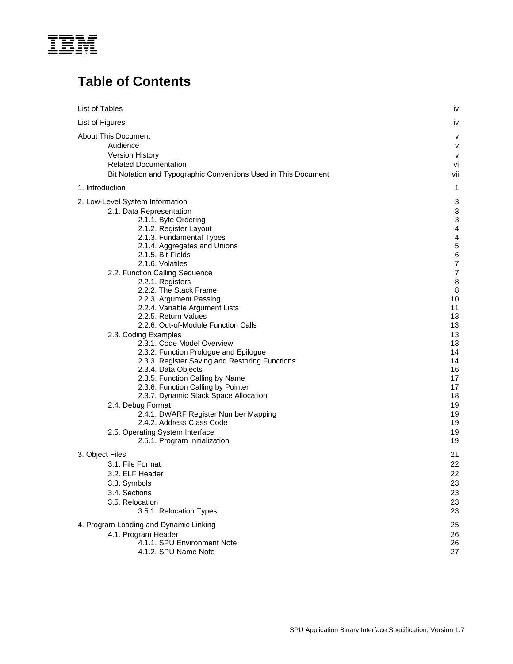

# **Table of Contents**

| List of Tables                                   |                                                                                                                                                                                                                                                                                                                                                                                                                                                                                                                                                                                                                                                                                                            | iv                                                                                                                                                                                                                               |
|--------------------------------------------------|------------------------------------------------------------------------------------------------------------------------------------------------------------------------------------------------------------------------------------------------------------------------------------------------------------------------------------------------------------------------------------------------------------------------------------------------------------------------------------------------------------------------------------------------------------------------------------------------------------------------------------------------------------------------------------------------------------|----------------------------------------------------------------------------------------------------------------------------------------------------------------------------------------------------------------------------------|
| List of Figures                                  |                                                                                                                                                                                                                                                                                                                                                                                                                                                                                                                                                                                                                                                                                                            | iv                                                                                                                                                                                                                               |
| <b>About This Document</b><br>Audience           | Version History<br><b>Related Documentation</b><br>Bit Notation and Typographic Conventions Used in This Document                                                                                                                                                                                                                                                                                                                                                                                                                                                                                                                                                                                          | v<br>v<br>v<br>vi<br>vii                                                                                                                                                                                                         |
| 1. Introduction                                  |                                                                                                                                                                                                                                                                                                                                                                                                                                                                                                                                                                                                                                                                                                            | 1                                                                                                                                                                                                                                |
| 2. Low-Level System Information                  | 2.1. Data Representation<br>2.1.1. Byte Ordering<br>2.1.2. Register Layout<br>2.1.3. Fundamental Types<br>2.1.4. Aggregates and Unions<br>2.1.5. Bit-Fields<br>2.1.6. Volatiles<br>2.2. Function Calling Sequence<br>2.2.1. Registers<br>2.2.2. The Stack Frame<br>2.2.3. Argument Passing<br>2.2.4. Variable Argument Lists<br>2.2.5. Return Values<br>2.2.6. Out-of-Module Function Calls<br>2.3. Coding Examples<br>2.3.1. Code Model Overview<br>2.3.2. Function Prologue and Epilogue<br>2.3.3. Register Saving and Restoring Functions<br>2.3.4. Data Objects<br>2.3.5. Function Calling by Name<br>2.3.6. Function Calling by Pointer<br>2.3.7. Dynamic Stack Space Allocation<br>2.4. Debug Format | 3<br>$\ensuremath{\mathsf{3}}$<br>$\ensuremath{\mathsf{3}}$<br>4<br>4<br>5<br>$\,6$<br>$\boldsymbol{7}$<br>$\overline{\mathbf{7}}$<br>8<br>$\bf 8$<br>10<br>11<br>13<br>13<br>13<br>13<br>14<br>14<br>16<br>17<br>17<br>18<br>19 |
|                                                  | 2.4.1. DWARF Register Number Mapping<br>2.4.2. Address Class Code<br>2.5. Operating System Interface<br>2.5.1. Program Initialization                                                                                                                                                                                                                                                                                                                                                                                                                                                                                                                                                                      | 19<br>19<br>19<br>19                                                                                                                                                                                                             |
| 3. Object Files<br>3.3. Symbols<br>3.4. Sections | 3.1. File Format<br>3.2. ELF Header<br>3.5. Relocation<br>3.5.1. Relocation Types                                                                                                                                                                                                                                                                                                                                                                                                                                                                                                                                                                                                                          | 21<br>22<br>22<br>23<br>23<br>23<br>23                                                                                                                                                                                           |
|                                                  | 4. Program Loading and Dynamic Linking<br>4.1. Program Header<br>4.1.1. SPU Environment Note<br>4.1.2. SPU Name Note                                                                                                                                                                                                                                                                                                                                                                                                                                                                                                                                                                                       | 25<br>26<br>26<br>27                                                                                                                                                                                                             |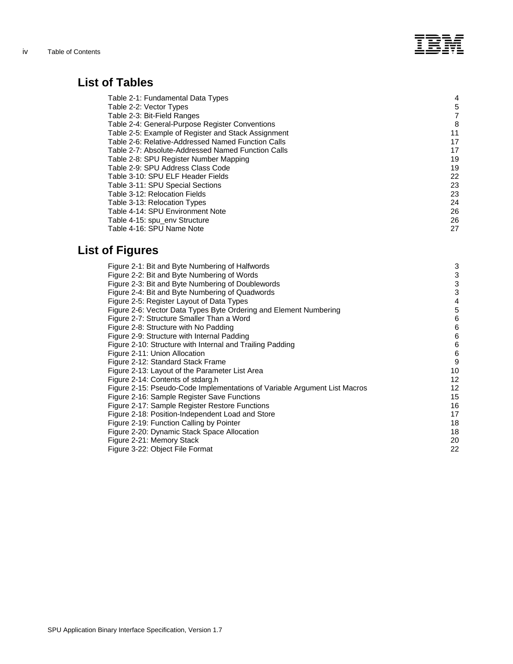

## **List of Tables**

| Table 2-1: Fundamental Data Types                   | 4  |
|-----------------------------------------------------|----|
| Table 2-2: Vector Types                             | 5  |
| Table 2-3: Bit-Field Ranges                         | 7  |
| Table 2-4: General-Purpose Register Conventions     | 8  |
| Table 2-5: Example of Register and Stack Assignment | 11 |
| Table 2-6: Relative-Addressed Named Function Calls  | 17 |
| Table 2-7: Absolute-Addressed Named Function Calls  | 17 |
| Table 2-8: SPU Register Number Mapping              | 19 |
| Table 2-9: SPU Address Class Code                   | 19 |
| Table 3-10: SPU ELF Header Fields                   | 22 |
| Table 3-11: SPU Special Sections                    | 23 |
| Table 3-12: Relocation Fields                       | 23 |
| Table 3-13: Relocation Types                        | 24 |
| Table 4-14: SPU Environment Note                    | 26 |
| Table 4-15: spu_env Structure                       | 26 |
| Table 4-16: SPU Name Note                           | 27 |

# **List of Figures**

| Figure 2-1: Bit and Byte Numbering of Halfwords                           | 3  |
|---------------------------------------------------------------------------|----|
| Figure 2-2: Bit and Byte Numbering of Words                               | 3  |
| Figure 2-3: Bit and Byte Numbering of Doublewords                         | 3  |
| Figure 2-4: Bit and Byte Numbering of Quadwords                           | 3  |
| Figure 2-5: Register Layout of Data Types                                 | 4  |
| Figure 2-6: Vector Data Types Byte Ordering and Element Numbering         | 5  |
| Figure 2-7: Structure Smaller Than a Word                                 | 6  |
| Figure 2-8: Structure with No Padding                                     | 6  |
| Figure 2-9: Structure with Internal Padding                               | 6  |
| Figure 2-10: Structure with Internal and Trailing Padding                 | 6  |
| Figure 2-11: Union Allocation                                             | 6  |
| Figure 2-12: Standard Stack Frame                                         | 9  |
| Figure 2-13: Layout of the Parameter List Area                            | 10 |
| Figure 2-14: Contents of stdarg.h                                         | 12 |
| Figure 2-15: Pseudo-Code Implementations of Variable Argument List Macros | 12 |
| Figure 2-16: Sample Register Save Functions                               | 15 |
| Figure 2-17: Sample Register Restore Functions                            | 16 |
| Figure 2-18: Position-Independent Load and Store                          | 17 |
| Figure 2-19: Function Calling by Pointer                                  | 18 |
| Figure 2-20: Dynamic Stack Space Allocation                               | 18 |
| Figure 2-21: Memory Stack                                                 | 20 |
| Figure 3-22: Object File Format                                           | 22 |
|                                                                           |    |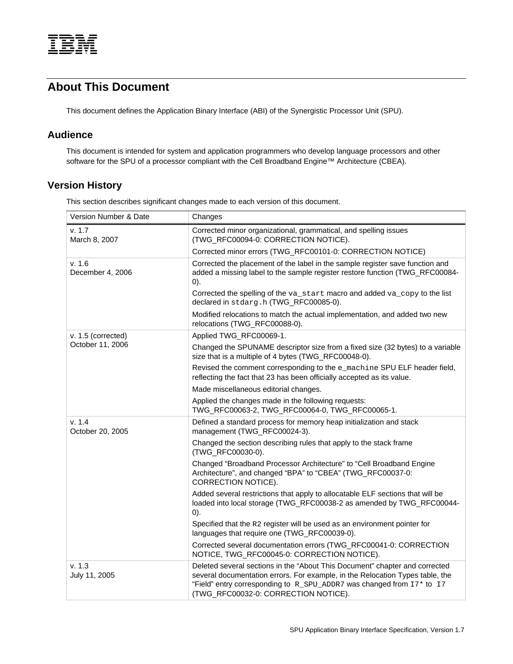<span id="page-4-0"></span>

## **About This Document**

This document defines the Application Binary Interface (ABI) of the Synergistic Processor Unit (SPU).

## **Audience**

This document is intended for system and application programmers who develop language processors and other software for the SPU of a processor compliant with the Cell Broadband Engine™ Architecture (CBEA).

## **Version History**

This section describes significant changes made to each version of this document.

| Version Number & Date      | Changes                                                                                                                                                                                                                                                                       |
|----------------------------|-------------------------------------------------------------------------------------------------------------------------------------------------------------------------------------------------------------------------------------------------------------------------------|
| v. 1.7<br>March 8, 2007    | Corrected minor organizational, grammatical, and spelling issues<br>(TWG_RFC00094-0: CORRECTION NOTICE).                                                                                                                                                                      |
|                            | Corrected minor errors (TWG_RFC00101-0: CORRECTION NOTICE)                                                                                                                                                                                                                    |
| v. 1.6<br>December 4, 2006 | Corrected the placement of the label in the sample register save function and<br>added a missing label to the sample register restore function (TWG_RFC00084-<br>(0).<br>Corrected the spelling of the va_start macro and added va_copy to the list                           |
|                            | declared in stdarg.h (TWG_RFC00085-0).                                                                                                                                                                                                                                        |
|                            | Modified relocations to match the actual implementation, and added two new<br>relocations (TWG_RFC00088-0).                                                                                                                                                                   |
| v. 1.5 (corrected)         | Applied TWG_RFC00069-1.                                                                                                                                                                                                                                                       |
| October 11, 2006           | Changed the SPUNAME descriptor size from a fixed size (32 bytes) to a variable<br>size that is a multiple of 4 bytes (TWG_RFC00048-0).                                                                                                                                        |
|                            | Revised the comment corresponding to the e_machine SPU ELF header field,<br>reflecting the fact that 23 has been officially accepted as its value.                                                                                                                            |
|                            | Made miscellaneous editorial changes.                                                                                                                                                                                                                                         |
|                            | Applied the changes made in the following requests:<br>TWG_RFC00063-2, TWG_RFC00064-0, TWG_RFC00065-1.                                                                                                                                                                        |
| v. 1.4<br>October 20, 2005 | Defined a standard process for memory heap initialization and stack<br>management (TWG_RFC00024-3).                                                                                                                                                                           |
|                            | Changed the section describing rules that apply to the stack frame<br>(TWG_RFC00030-0).                                                                                                                                                                                       |
|                            | Changed "Broadband Processor Architecture" to "Cell Broadband Engine<br>Architecture", and changed "BPA" to "CBEA" (TWG_RFC00037-0:<br>CORRECTION NOTICE).                                                                                                                    |
|                            | Added several restrictions that apply to allocatable ELF sections that will be<br>loaded into local storage (TWG_RFC00038-2 as amended by TWG_RFC00044-<br>(0).                                                                                                               |
|                            | Specified that the R2 register will be used as an environment pointer for<br>languages that require one (TWG_RFC00039-0).                                                                                                                                                     |
|                            | Corrected several documentation errors (TWG_RFC00041-0: CORRECTION<br>NOTICE, TWG_RFC00045-0: CORRECTION NOTICE).                                                                                                                                                             |
| v. 1.3<br>July 11, 2005    | Deleted several sections in the "About This Document" chapter and corrected<br>several documentation errors. For example, in the Relocation Types table, the<br>"Field" entry corresponding to R_SPU_ADDR7 was changed from I7* to I7<br>(TWG_RFC00032-0: CORRECTION NOTICE). |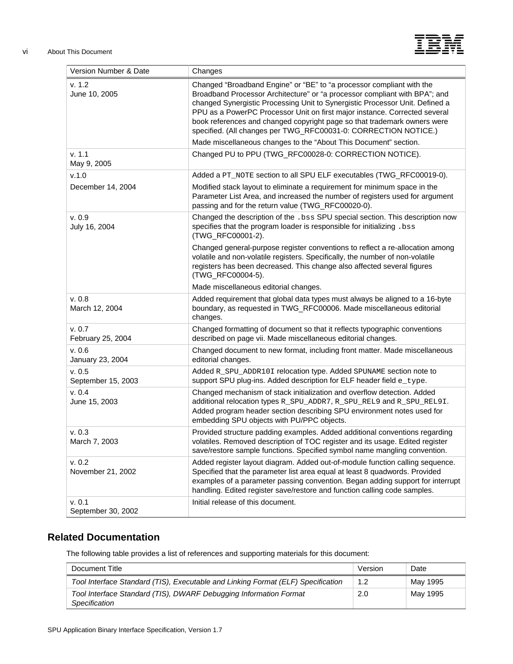

<span id="page-5-0"></span>

| Version Number & Date        | Changes                                                                                                                                                                                                                                                                                                                                                                                                                                                          |
|------------------------------|------------------------------------------------------------------------------------------------------------------------------------------------------------------------------------------------------------------------------------------------------------------------------------------------------------------------------------------------------------------------------------------------------------------------------------------------------------------|
| v. 1.2<br>June 10, 2005      | Changed "Broadband Engine" or "BE" to "a processor compliant with the<br>Broadband Processor Architecture" or "a processor compliant with BPA"; and<br>changed Synergistic Processing Unit to Synergistic Processor Unit. Defined a<br>PPU as a PowerPC Processor Unit on first major instance. Corrected several<br>book references and changed copyright page so that trademark owners were<br>specified. (All changes per TWG_RFC00031-0: CORRECTION NOTICE.) |
|                              | Made miscellaneous changes to the "About This Document" section.                                                                                                                                                                                                                                                                                                                                                                                                 |
| v. 1.1<br>May 9, 2005        | Changed PU to PPU (TWG_RFC00028-0: CORRECTION NOTICE).                                                                                                                                                                                                                                                                                                                                                                                                           |
| v.1.0                        | Added a PT_NOTE section to all SPU ELF executables (TWG_RFC00019-0).                                                                                                                                                                                                                                                                                                                                                                                             |
| December 14, 2004            | Modified stack layout to eliminate a requirement for minimum space in the<br>Parameter List Area, and increased the number of registers used for argument<br>passing and for the return value (TWG_RFC00020-0).                                                                                                                                                                                                                                                  |
| v. 0.9<br>July 16, 2004      | Changed the description of the . bss SPU special section. This description now<br>specifies that the program loader is responsible for initializing. bss<br>(TWG_RFC00001-2).                                                                                                                                                                                                                                                                                    |
|                              | Changed general-purpose register conventions to reflect a re-allocation among<br>volatile and non-volatile registers. Specifically, the number of non-volatile<br>registers has been decreased. This change also affected several figures<br>(TWG_RFC00004-5).                                                                                                                                                                                                   |
|                              | Made miscellaneous editorial changes.                                                                                                                                                                                                                                                                                                                                                                                                                            |
| v. 0.8<br>March 12, 2004     | Added requirement that global data types must always be aligned to a 16-byte<br>boundary, as requested in TWG_RFC00006. Made miscellaneous editorial<br>changes.                                                                                                                                                                                                                                                                                                 |
| v. 0.7<br>February 25, 2004  | Changed formatting of document so that it reflects typographic conventions<br>described on page vii. Made miscellaneous editorial changes.                                                                                                                                                                                                                                                                                                                       |
| v. 0.6<br>January 23, 2004   | Changed document to new format, including front matter. Made miscellaneous<br>editorial changes.                                                                                                                                                                                                                                                                                                                                                                 |
| v. 0.5<br>September 15, 2003 | Added R_SPU_ADDR101 relocation type. Added SPUNAME section note to<br>support SPU plug-ins. Added description for ELF header field e_type.                                                                                                                                                                                                                                                                                                                       |
| v. 0.4<br>June 15, 2003      | Changed mechanism of stack initialization and overflow detection. Added<br>additional relocation types R_SPU_ADDR7, R_SPU_REL9 and R_SPU_REL91.<br>Added program header section describing SPU environment notes used for<br>embedding SPU objects with PU/PPC objects.                                                                                                                                                                                          |
| v. 0.3<br>March 7, 2003      | Provided structure padding examples. Added additional conventions regarding<br>volatiles. Removed description of TOC register and its usage. Edited register<br>save/restore sample functions. Specified symbol name mangling convention.                                                                                                                                                                                                                        |
| v. 0.2<br>November 21, 2002  | Added register layout diagram. Added out-of-module function calling sequence.<br>Specified that the parameter list area equal at least 8 quadwords. Provided<br>examples of a parameter passing convention. Began adding support for interrupt<br>handling. Edited register save/restore and function calling code samples.                                                                                                                                      |
| v. 0.1<br>September 30, 2002 | Initial release of this document.                                                                                                                                                                                                                                                                                                                                                                                                                                |

## **Related Documentation**

The following table provides a list of references and supporting materials for this document:

| Document Title                                                                     | Version | Date     |
|------------------------------------------------------------------------------------|---------|----------|
| Tool Interface Standard (TIS), Executable and Linking Format (ELF) Specification   | 1.2     | May 1995 |
| Tool Interface Standard (TIS), DWARF Debugging Information Format<br>Specification | 2.0     | May 1995 |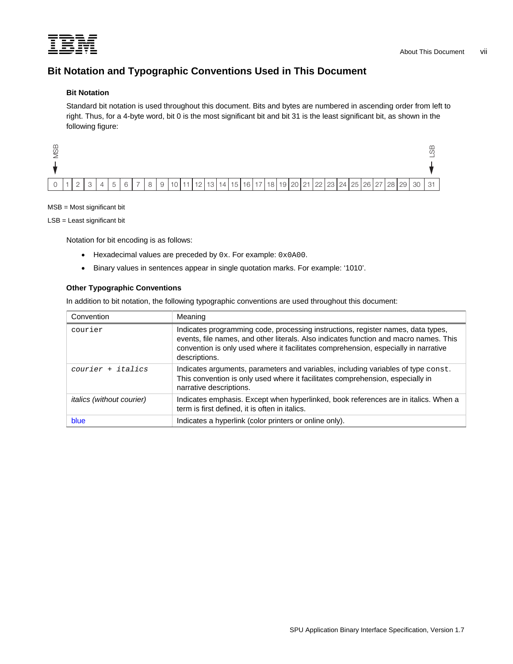<span id="page-6-0"></span>

## **Bit Notation and Typographic Conventions Used in This Document**

## **Bit Notation**

Standard bit notation is used throughout this document. Bits and bytes are numbered in ascending order from left to right. Thus, for a 4-byte word, bit 0 is the most significant bit and bit 31 is the least significant bit, as shown in the following figure:



#### MSB = Most significant bit

LSB = Least significant bit

Notation for bit encoding is as follows:

- Hexadecimal values are preceded by 0x. For example: 0x0A00.
- Binary values in sentences appear in single quotation marks. For example: '1010'.

## <span id="page-6-1"></span>**Other Typographic Conventions**

In addition to bit notation, the following typographic conventions are used throughout this document:

| Convention                       | Meaning                                                                                                                                                                                                                                                                           |
|----------------------------------|-----------------------------------------------------------------------------------------------------------------------------------------------------------------------------------------------------------------------------------------------------------------------------------|
| courier                          | Indicates programming code, processing instructions, register names, data types,<br>events, file names, and other literals. Also indicates function and macro names. This<br>convention is only used where it facilitates comprehension, especially in narrative<br>descriptions. |
| $counter + italics$              | Indicates arguments, parameters and variables, including variables of type const.<br>This convention is only used where it facilitates comprehension, especially in<br>narrative descriptions.                                                                                    |
| <i>italics (without courier)</i> | Indicates emphasis. Except when hyperlinked, book references are in italics. When a<br>term is first defined, it is often in italics.                                                                                                                                             |
| blue                             | Indicates a hyperlink (color printers or online only).                                                                                                                                                                                                                            |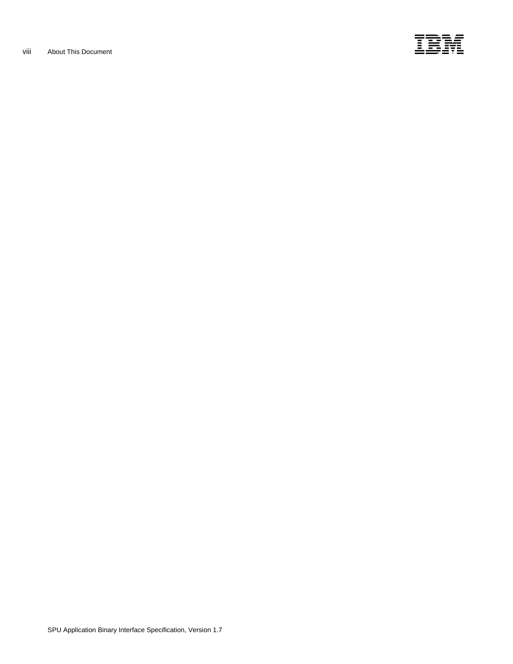viii About This Document - About This Document - About This Document - About This Document - About This Document - About This Document - About This Document - About This Document - About This Document - About This Document

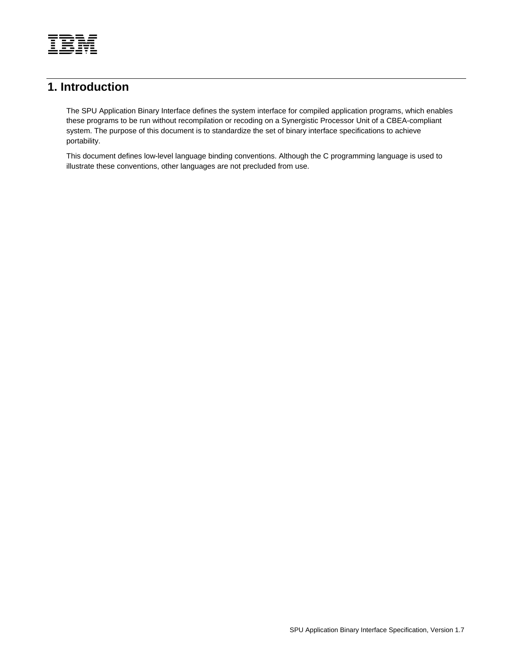

## **1. Introduction**

The SPU Application Binary Interface defines the system interface for compiled application programs, which enables these programs to be run without recompilation or recoding on a Synergistic Processor Unit of a CBEA-compliant system. The purpose of this document is to standardize the set of binary interface specifications to achieve portability.

This document defines low-level language binding conventions. Although the C programming language is used to illustrate these conventions, other languages are not precluded from use.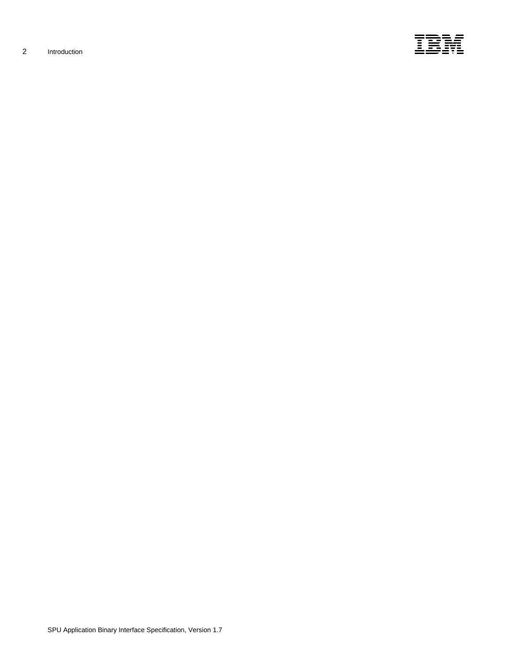$\overline{\mathbf{P}}$  Introduction - Introduction - Intervalse of the set of the set of the set of the set of the set of the set of the set of the set of the set of the set of the set of the set of the set of the set of the set of

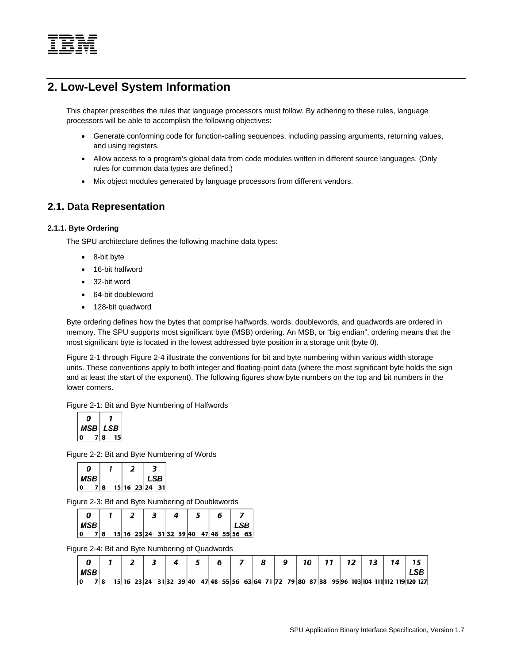<span id="page-10-0"></span>

## **2. Low-Level System Information**

This chapter prescribes the rules that language processors must follow. By adhering to these rules, language processors will be able to accomplish the following objectives:

- Generate conforming code for function-calling sequences, including passing arguments, returning values, and using registers.
- Allow access to a program's global data from code modules written in different source languages. (Only rules for common data types are defined.)
- Mix object modules generated by language processors from different vendors.

## **2.1. Data Representation**

### **2.1.1. Byte Ordering**

The SPU architecture defines the following machine data types:

- 8-bit byte
- 16-bit halfword
- 32-bit word
- 64-bit doubleword
- 128-bit quadword

Byte ordering defines how the bytes that comprise halfwords, words, doublewords, and quadwords are ordered in memory. The SPU supports most significant byte (MSB) ordering. An MSB, or "big endian", ordering means that the most significant byte is located in the lowest addressed byte position in a storage unit (byte 0).

[Figure 2-1](#page-10-1) through [Figure 2-4](#page-10-2) illustrate the conventions for bit and byte numbering within various width storage units. These conventions apply to both integer and floating-point data (where the most significant byte holds the sign and at least the start of the exponent). The following figures show byte numbers on the top and bit numbers in the lower corners.

<span id="page-10-1"></span>Figure 2-1: Bit and Byte Numbering of Halfwords

| ИSВ |   | I SB |
|-----|---|------|
|     | 8 |      |

Figure 2-2: Bit and Byte Numbering of Words

| Ω   |     |  |                |     |
|-----|-----|--|----------------|-----|
| MSB |     |  |                | LSB |
| 0   | 8 ا |  | 15 16 23 24 31 |     |

Figure 2-3: Bit and Byte Numbering of Doublewords

| <b>MSB</b> |     |  |  |  |  |                                          |  | $'$ <i>LSB</i> |
|------------|-----|--|--|--|--|------------------------------------------|--|----------------|
| 10         | 7 8 |  |  |  |  | $15 16$ 23 24 31 32 39 40 47 48 55 56 63 |  |                |

<span id="page-10-2"></span>Figure 2-4: Bit and Byte Numbering of Quadwords

|     |    |  |  |  |  |  |  |  |  |  | 10 |  |  |  |                                                                                             |  |
|-----|----|--|--|--|--|--|--|--|--|--|----|--|--|--|---------------------------------------------------------------------------------------------|--|
| MSB |    |  |  |  |  |  |  |  |  |  |    |  |  |  |                                                                                             |  |
|     | 78 |  |  |  |  |  |  |  |  |  |    |  |  |  | 15 16 23 24 31 32 39 40 47 48 55 56 63 64 71 72 79 80 87 88 95 96 103 104 11 12 119 120 127 |  |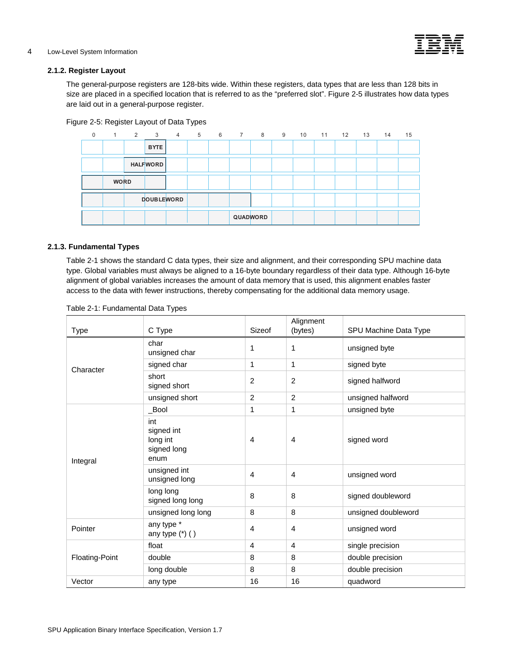

# <span id="page-11-3"></span><span id="page-11-0"></span>4 Low-Level System Information -

#### **2.1.2. Register Layout**

The general-purpose registers are 128-bits wide. Within these registers, data types that are less than 128 bits in size are placed in a specified location that is referred to as the "preferred slot". [Figure 2-5](#page-11-1) illustrates how data types are laid out in a general-purpose register.

<span id="page-11-1"></span>



#### **2.1.3. Fundamental Types**

[Table 2-1](#page-11-2) shows the standard C data types, their size and alignment, and their corresponding SPU machine data type. Global variables must always be aligned to a 16-byte boundary regardless of their data type. Although 16-byte alignment of global variables increases the amount of data memory that is used, this alignment enables faster access to the data with fewer instructions, thereby compensating for the additional data memory usage.

| Type           | C Type                                               | Sizeof         | Alignment<br>(bytes) | SPU Machine Data Type |
|----------------|------------------------------------------------------|----------------|----------------------|-----------------------|
|                | char<br>unsigned char                                | 1              | 1                    | unsigned byte         |
| Character      | signed char                                          | 1              | $\mathbf{1}$         | signed byte           |
|                | short<br>signed short                                | 2              | $\overline{2}$       | signed halfword       |
|                | unsigned short                                       | $\overline{2}$ | $\overline{c}$       | unsigned halfword     |
|                | $_$ Bool                                             | 1              | 1                    | unsigned byte         |
| Integral       | int<br>signed int<br>long int<br>signed long<br>enum | $\overline{4}$ | 4                    | signed word           |
|                | unsigned int<br>unsigned long                        | $\overline{4}$ | $\overline{4}$       | unsigned word         |
|                | long long<br>signed long long                        | 8              | 8                    | signed doubleword     |
|                | unsigned long long                                   | 8              | 8                    | unsigned doubleword   |
| Pointer        | any type *<br>any type $(*)$ ()                      | $\overline{4}$ | 4                    | unsigned word         |
|                | float                                                | $\overline{4}$ | $\overline{4}$       | single precision      |
| Floating-Point | double                                               | 8              | 8                    | double precision      |
|                | long double                                          | 8              | 8                    | double precision      |
| Vector         | any type                                             | 16             | 16                   | quadword              |

<span id="page-11-2"></span>Table 2-1: Fundamental Data Types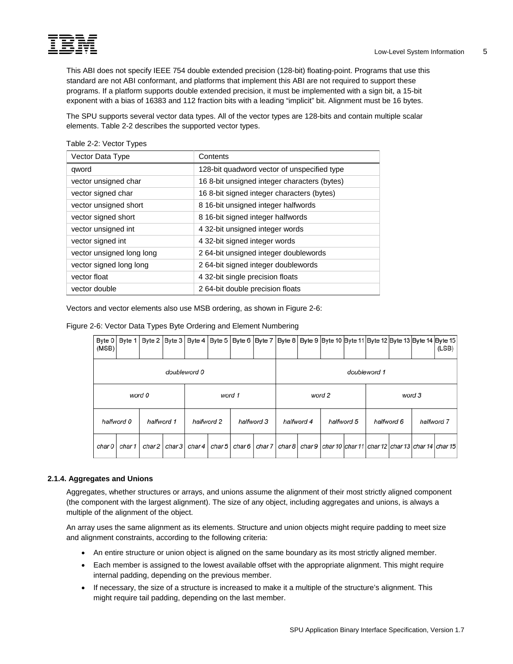<span id="page-12-0"></span>

This ABI does not specify IEEE 754 double extended precision (128-bit) floating-point. Programs that use this standard are not ABI conformant, and platforms that implement this ABI are not required to support these programs. If a platform supports double extended precision, it must be implemented with a sign bit, a 15-bit exponent with a bias of 16383 and 112 fraction bits with a leading "implicit" bit. Alignment must be 16 bytes.

The SPU supports several vector data types. All of the vector types are 128-bits and contain multiple scalar elements. [Table 2-2](#page-12-1) describes the supported vector types.

| Vector Data Type          | Contents                                     |
|---------------------------|----------------------------------------------|
| qword                     | 128-bit quadword vector of unspecified type  |
| vector unsigned char      | 16 8-bit unsigned integer characters (bytes) |
| vector signed char        | 16 8-bit signed integer characters (bytes)   |
| vector unsigned short     | 8 16-bit unsigned integer halfwords          |
| vector signed short       | 8 16-bit signed integer halfwords            |
| vector unsigned int       | 4 32-bit unsigned integer words              |
| vector signed int         | 4 32-bit signed integer words                |
| vector unsigned long long | 2 64-bit unsigned integer doublewords        |
| vector signed long long   | 2 64-bit signed integer doublewords          |
| vector float              | 4 32-bit single precision floats             |
| vector double             | 2 64-bit double precision floats             |

<span id="page-12-1"></span>Table 2-2: Vector Types

Vectors and vector elements also use MSB ordering, as shown in [Figure 2-6](#page-12-2):

<span id="page-12-2"></span>Figure 2-6: Vector Data Types Byte Ordering and Element Numbering

| (MSB)  | Byte $0 \mid$ Byte 1 |            |              |            |        |            |            | Byte 2   Byte 3   Byte 4   Byte 5   Byte 6   Byte 7   Byte 8   Byte 9   Byte 10   Byte 11   Byte 12   Byte 13   Byte 14   Byte 15                                                 |              |            | (LSB)      |
|--------|----------------------|------------|--------------|------------|--------|------------|------------|-----------------------------------------------------------------------------------------------------------------------------------------------------------------------------------|--------------|------------|------------|
|        |                      |            | doubleword 0 |            |        |            |            |                                                                                                                                                                                   | doubleword 1 |            |            |
|        |                      | word 0     |              |            | word 1 |            |            | word 2                                                                                                                                                                            |              | word 3     |            |
|        | halfword 0           | halfword 1 |              | halfword 2 |        | halfword 3 | halfword 4 | halfword 5                                                                                                                                                                        |              | halfword 6 | halfword 7 |
| char 0 | char 1               | char 2     |              |            |        |            |            | char 3 $\vert$ char 4 $\vert$ char 5 $\vert$ char 6 $\vert$ char 7 $\vert$ char 8 $\vert$ char 10 $\vert$ char 11 $\vert$ char 12 $\vert$ char 13 $\vert$ char 14 $\vert$ char 15 |              |            |            |

## <span id="page-12-3"></span>**2.1.4. Aggregates and Unions**

Aggregates, whether structures or arrays, and unions assume the alignment of their most strictly aligned component (the component with the largest alignment). The size of any object, including aggregates and unions, is always a multiple of the alignment of the object.

An array uses the same alignment as its elements. Structure and union objects might require padding to meet size and alignment constraints, according to the following criteria:

- An entire structure or union object is aligned on the same boundary as its most strictly aligned member.
- Each member is assigned to the lowest available offset with the appropriate alignment. This might require internal padding, depending on the previous member.
- If necessary, the size of a structure is increased to make it a multiple of the structure's alignment. This might require tail padding, depending on the last member.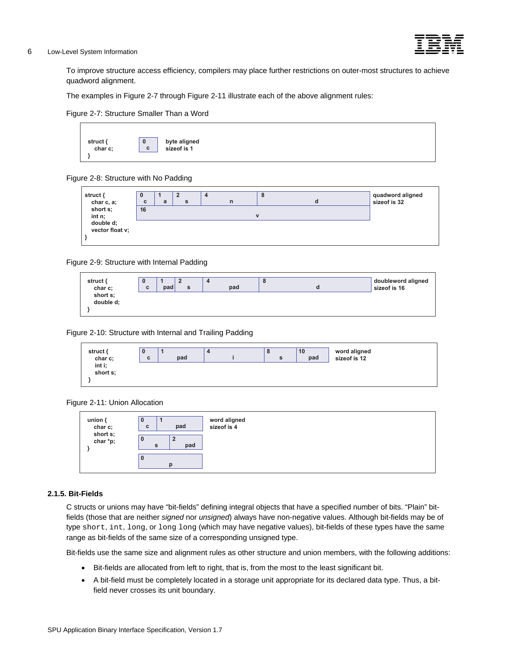

<span id="page-13-0"></span>end to the system Information of the set of the set of the system information of the set of the system Information of the system information of the system information of the system information of the system information of

To improve structure access efficiency, compilers may place further restrictions on outer-most structures to achieve quadword alignment.

The examples in [Figure 2-7](#page-13-1) through [Figure 2-11](#page-13-2) illustrate each of the above alignment rules:

<span id="page-13-1"></span>

| byte aligned<br>struct {<br>$\mathbf{0}$ |  |  |
|------------------------------------------|--|--|
| sizeof is 1<br>C<br>char c;              |  |  |
|                                          |  |  |

#### Figure 2-8: Structure with No Padding

| struct {<br>char c, a;       | $\bf{0}$<br>c | a | 2<br>s | 4<br>$\mathsf{n}$ | 8<br>a       | quadword aligned<br>sizeof is 32 |
|------------------------------|---------------|---|--------|-------------------|--------------|----------------------------------|
| short s;<br>int n;           | 16            |   |        |                   | $\mathbf{v}$ |                                  |
| double d;<br>vector float v: |               |   |        |                   |              |                                  |

#### Figure 2-9: Structure with Internal Padding

| struct {<br>char c;   | C | pad | s | pad | $\circ$ | doubleword aligned<br>sizeof is 16 |
|-----------------------|---|-----|---|-----|---------|------------------------------------|
| short s;<br>double d; |   |     |   |     |         |                                    |

Figure 2-10: Structure with Internal and Trailing Padding



<span id="page-13-2"></span>Figure 2-11: Union Allocation

| union {<br>char c;   | $\bf{0}$<br>C | pad      | word aligned<br>sizeof is 4 |
|----------------------|---------------|----------|-----------------------------|
| short s;<br>char *p; | 0<br>s        | 2<br>pad |                             |
|                      | 0             |          |                             |

#### **2.1.5. Bit-Fields**

C structs or unions may have "bit-fields" defining integral objects that have a specified number of bits. "Plain" bitfields (those that are neither *signed* nor *unsigned*) always have non-negative values. Although bit-fields may be of type short, int, long, or long long (which may have negative values), bit-fields of these types have the same range as bit-fields of the same size of a corresponding unsigned type.

Bit-fields use the same size and alignment rules as other structure and union members, with the following additions:

- Bit-fields are allocated from left to right, that is, from the most to the least significant bit.
- A bit-field must be completely located in a storage unit appropriate for its declared data type. Thus, a bitfield never crosses its unit boundary.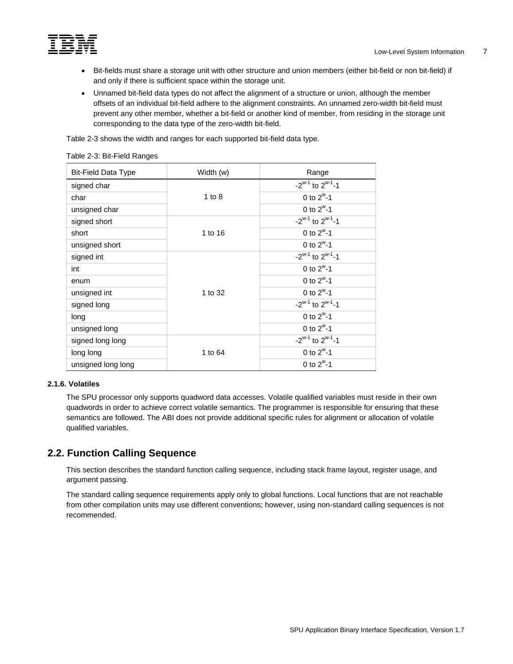<span id="page-14-0"></span>

- Bit-fields must share a storage unit with other structure and union members (either bit-field or non bit-field) if and only if there is sufficient space within the storage unit.
- Unnamed bit-field data types do not affect the alignment of a structure or union, although the member offsets of an individual bit-field adhere to the alignment constraints. An unnamed zero-width bit-field must prevent any other member, whether a bit-field or another kind of member, from residing in the storage unit corresponding to the data type of the zero-width bit-field.

[Table 2-3](#page-14-1) shows the width and ranges for each supported bit-field data type.

| <b>Bit-Field Data Type</b> | Width (w) | Range                     |
|----------------------------|-----------|---------------------------|
| signed char                |           | $-2^{w-1}$ to $2^{w-1}-1$ |
| char                       | 1 to $8$  | 0 to $2^{\omega}$ -1      |
| unsigned char              |           | 0 to $2^{\omega}$ -1      |
| signed short               |           | $-2^{w-1}$ to $2^{w-1}-1$ |
| short                      | 1 to 16   | 0 to $2^{\omega}$ -1      |
| unsigned short             |           | 0 to $2^{\omega}$ -1      |
| signed int                 |           | $-2^{w-1}$ to $2^{w-1}-1$ |
| int                        | 1 to 32   | 0 to $2^{\omega}$ -1      |
| enum                       |           | 0 to $2^{\omega}$ -1      |
| unsigned int               |           | 0 to $2^{\omega}$ -1      |
| signed long                |           | $-2^{w-1}$ to $2^{w-1}-1$ |
| long                       |           | 0 to $2^{\omega}$ -1      |
| unsigned long              |           | 0 to $2^{\omega}$ -1      |
| signed long long           |           | $-2^{w-1}$ to $2^{w-1}-1$ |
| long long                  | 1 to 64   | 0 to $2^{\omega}$ -1      |
| unsigned long long         |           | 0 to $2^{\omega}$ -1      |

<span id="page-14-1"></span>Table 2-3: Bit-Field Ranges

### **2.1.6. Volatiles**

The SPU processor only supports quadword data accesses. Volatile qualified variables must reside in their own quadwords in order to achieve correct volatile semantics. The programmer is responsible for ensuring that these semantics are followed. The ABI does not provide additional specific rules for alignment or allocation of volatile qualified variables.

## **2.2. Function Calling Sequence**

This section describes the standard function calling sequence, including stack frame layout, register usage, and argument passing.

The standard calling sequence requirements apply only to global functions. Local functions that are not reachable from other compilation units may use different conventions; however, using non-standard calling sequences is not recommended.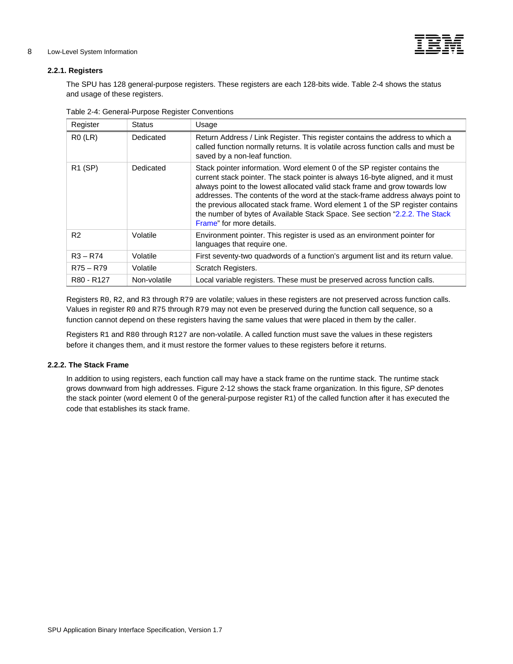# <span id="page-15-0"></span>end and the system Information of the set of the system information of the system information of the system information of the system information of the system information of the system information of the system informatio



#### <span id="page-15-1"></span>**2.2.1. Registers**

The SPU has 128 general-purpose registers. These registers are each 128-bits wide. [Table 2-4](#page-15-1) shows the status and usage of these registers.

| Register       | <b>Status</b> | Usage                                                                                                                                                                                                                                                                                                                                                                                                                                                                                                                       |
|----------------|---------------|-----------------------------------------------------------------------------------------------------------------------------------------------------------------------------------------------------------------------------------------------------------------------------------------------------------------------------------------------------------------------------------------------------------------------------------------------------------------------------------------------------------------------------|
| $RO$ (LR)      | Dedicated     | Return Address / Link Register. This register contains the address to which a<br>called function normally returns. It is volatile across function calls and must be<br>saved by a non-leaf function.                                                                                                                                                                                                                                                                                                                        |
| <b>R1 (SP)</b> | Dedicated     | Stack pointer information. Word element 0 of the SP register contains the<br>current stack pointer. The stack pointer is always 16-byte aligned, and it must<br>always point to the lowest allocated valid stack frame and grow towards low<br>addresses. The contents of the word at the stack-frame address always point to<br>the previous allocated stack frame. Word element 1 of the SP register contains<br>the number of bytes of Available Stack Space. See section "2.2.2. The Stack"<br>Frame" for more details. |
| R <sub>2</sub> | Volatile      | Environment pointer. This register is used as an environment pointer for<br>languages that require one.                                                                                                                                                                                                                                                                                                                                                                                                                     |
| $R3 - R74$     | Volatile      | First seventy-two quadwords of a function's argument list and its return value.                                                                                                                                                                                                                                                                                                                                                                                                                                             |
| $R75 - R79$    | Volatile      | Scratch Registers.                                                                                                                                                                                                                                                                                                                                                                                                                                                                                                          |
| R80 - R127     | Non-volatile  | Local variable registers. These must be preserved across function calls.                                                                                                                                                                                                                                                                                                                                                                                                                                                    |

|  | Table 2-4: General-Purpose Register Conventions |  |
|--|-------------------------------------------------|--|
|  |                                                 |  |

Registers R0, R2, and R3 through R79 are volatile; values in these registers are not preserved across function calls. Values in register R0 and R75 through R79 may not even be preserved during the function call sequence, so a function cannot depend on these registers having the same values that were placed in them by the caller.

Registers R1 and R80 through R127 are non-volatile. A called function must save the values in these registers before it changes them, and it must restore the former values to these registers before it returns.

### <span id="page-15-2"></span>**2.2.2. The Stack Frame**

In addition to using registers, each function call may have a stack frame on the runtime stack. The runtime stack grows downward from high addresses. [Figure 2-12](#page-16-1) shows the stack frame organization. In this figure, *SP* denotes the stack pointer (word element 0 of the general-purpose register R1) of the called function after it has executed the code that establishes its stack frame.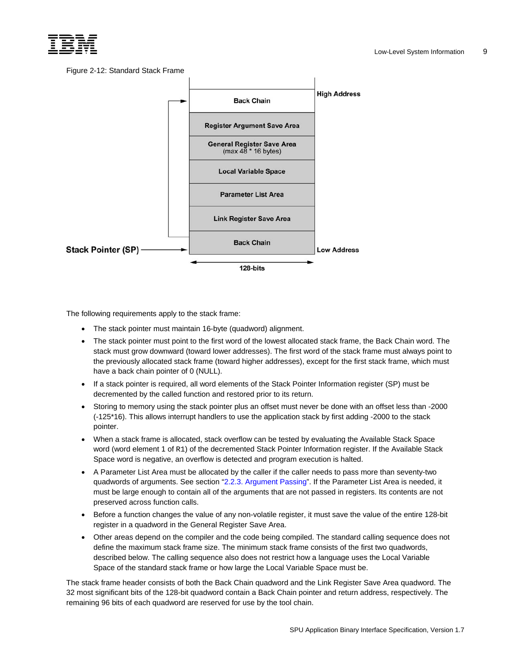<span id="page-16-1"></span><span id="page-16-0"></span>

#### Figure 2-12: Standard Stack Frame



The following requirements apply to the stack frame:

- The stack pointer must maintain 16-byte (quadword) alignment.
- The stack pointer must point to the first word of the lowest allocated stack frame, the Back Chain word. The stack must grow downward (toward lower addresses). The first word of the stack frame must always point to the previously allocated stack frame (toward higher addresses), except for the first stack frame, which must have a back chain pointer of 0 (NULL).
- If a stack pointer is required, all word elements of the Stack Pointer Information register (SP) must be decremented by the called function and restored prior to its return.
- Storing to memory using the stack pointer plus an offset must never be done with an offset less than -2000 (-125\*16). This allows interrupt handlers to use the application stack by first adding -2000 to the stack pointer.
- When a stack frame is allocated, stack overflow can be tested by evaluating the Available Stack Space word (word element 1 of R1) of the decremented Stack Pointer Information register. If the Available Stack Space word is negative, an overflow is detected and program execution is halted.
- A Parameter List Area must be allocated by the caller if the caller needs to pass more than seventy-two quadwords of arguments. See section "[2.2.3. Argument Passing](#page-17-1)". If the Parameter List Area is needed, it must be large enough to contain all of the arguments that are not passed in registers. Its contents are not preserved across function calls.
- Before a function changes the value of any non-volatile register, it must save the value of the entire 128-bit register in a quadword in the General Register Save Area.
- Other areas depend on the compiler and the code being compiled. The standard calling sequence does not define the maximum stack frame size. The minimum stack frame consists of the first two quadwords, described below. The calling sequence also does not restrict how a language uses the Local Variable Space of the standard stack frame or how large the Local Variable Space must be.

The stack frame header consists of both the Back Chain quadword and the Link Register Save Area quadword. The 32 most significant bits of the 128-bit quadword contain a Back Chain pointer and return address, respectively. The remaining 96 bits of each quadword are reserved for use by the tool chain.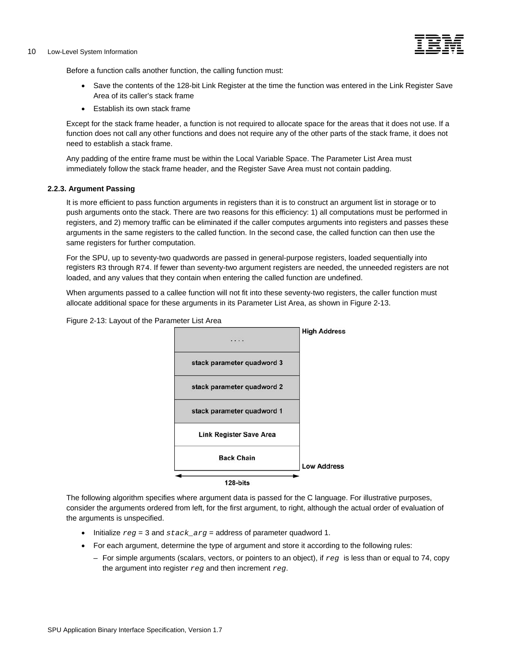# <span id="page-17-0"></span>10 Low-Level System Information -



Before a function calls another function, the calling function must:

- Save the contents of the 128-bit Link Register at the time the function was entered in the Link Register Save Area of its caller's stack frame
- Establish its own stack frame

Except for the stack frame header, a function is not required to allocate space for the areas that it does not use. If a function does not call any other functions and does not require any of the other parts of the stack frame, it does not need to establish a stack frame.

Any padding of the entire frame must be within the Local Variable Space. The Parameter List Area must immediately follow the stack frame header, and the Register Save Area must not contain padding.

#### <span id="page-17-1"></span>**2.2.3. Argument Passing**

It is more efficient to pass function arguments in registers than it is to construct an argument list in storage or to push arguments onto the stack. There are two reasons for this efficiency: 1) all computations must be performed in registers, and 2) memory traffic can be eliminated if the caller computes arguments into registers and passes these arguments in the same registers to the called function. In the second case, the called function can then use the same registers for further computation.

For the SPU, up to seventy-two quadwords are passed in general-purpose registers, loaded sequentially into registers R3 through R74. If fewer than seventy-two argument registers are needed, the unneeded registers are not loaded, and any values that they contain when entering the called function are undefined.

When arguments passed to a callee function will not fit into these seventy-two registers, the caller function must allocate additional space for these arguments in its Parameter List Area, as shown in [Figure 2-13.](#page-17-2)

<span id="page-17-2"></span>



The following algorithm specifies where argument data is passed for the C language. For illustrative purposes, consider the arguments ordered from left, for the first argument, to right, although the actual order of evaluation of the arguments is unspecified.

- Initialize *reg* = 3 and *stack\_arg* = address of parameter quadword 1.
- For each argument, determine the type of argument and store it according to the following rules:
	- For simple arguments (scalars, vectors, or pointers to an object), if *reg* is less than or equal to 74, copy the argument into register *reg* and then increment *reg*.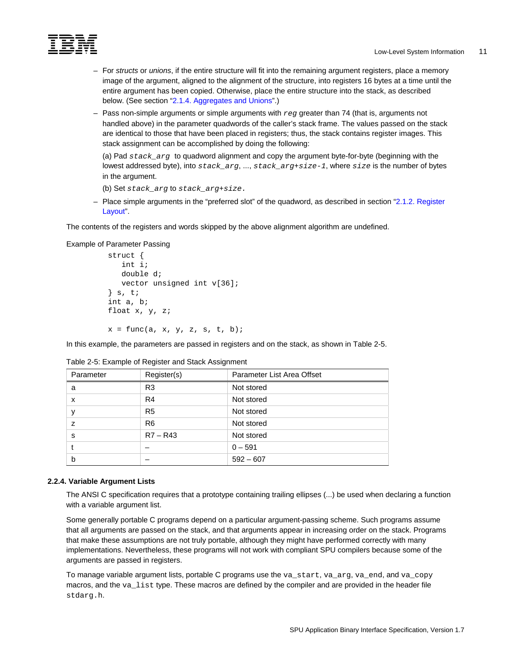<span id="page-18-0"></span>

- For *structs* or *unions*, if the entire structure will fit into the remaining argument registers, place a memory image of the argument, aligned to the alignment of the structure, into registers 16 bytes at a time until the entire argument has been copied. Otherwise, place the entire structure into the stack, as described below. (See section ["2.1.4. Aggregates and Unions"](#page-12-3).)
- Pass non-simple arguments or simple arguments with *reg* greater than 74 (that is, arguments not handled above) in the parameter quadwords of the caller's stack frame. The values passed on the stack are identical to those that have been placed in registers; thus, the stack contains register images. This stack assignment can be accomplished by doing the following:

(a) Pad *stack\_arg* to quadword alignment and copy the argument byte-for-byte (beginning with the lowest addressed byte), into *stack\_arg*, ..., *stack\_arg+size-1*, where *size* is the number of bytes in the argument.

```
(b) Set stack_arg to stack_arg+size.
```
– Place simple arguments in the "preferred slot" of the quadword, as described in section "[2.1.2. Register](#page-11-3)  [Layout](#page-11-3)".

The contents of the registers and words skipped by the above alignment algorithm are undefined.

Example of Parameter Passing

```
struct { 
    int i; 
    double d; 
    vector unsigned int v[36]; 
} s, t; 
int a, b; 
float x, y, z; 
x = func(a, x, y, z, s, t, b);
```
In this example, the parameters are passed in registers and on the stack, as shown in [Table 2-5.](#page-18-1)

| Parameter     | Register(s)    | Parameter List Area Offset |
|---------------|----------------|----------------------------|
| a             | R <sub>3</sub> | Not stored                 |
| x             | R4             | Not stored                 |
| у             | R <sub>5</sub> | Not stored                 |
| $\mathcal{L}$ | R <sub>6</sub> | Not stored                 |
| S             | $R7 - R43$     | Not stored                 |
|               |                | $0 - 591$                  |
| b             |                | $592 - 607$                |

<span id="page-18-1"></span>Table 2-5: Example of Register and Stack Assignment

### **2.2.4. Variable Argument Lists**

The ANSI C specification requires that a prototype containing trailing ellipses (...) be used when declaring a function with a variable argument list.

Some generally portable C programs depend on a particular argument-passing scheme. Such programs assume that all arguments are passed on the stack, and that arguments appear in increasing order on the stack. Programs that make these assumptions are not truly portable, although they might have performed correctly with many implementations. Nevertheless, these programs will not work with compliant SPU compilers because some of the arguments are passed in registers.

To manage variable argument lists, portable C programs use the va\_start, va\_arg, va\_end, and va\_copy macros, and the va\_list type. These macros are defined by the compiler and are provided in the header file stdarg.h.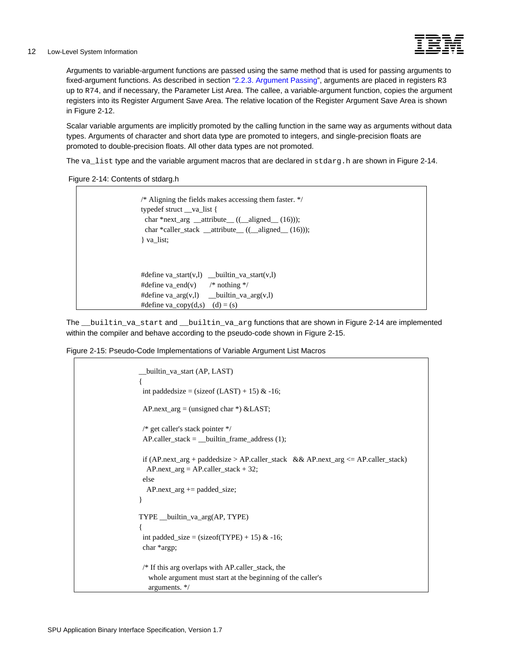<span id="page-19-0"></span>



Arguments to variable-argument functions are passed using the same method that is used for passing arguments to fixed-argument functions. As described in section ["2.2.3. Argument Passing"](#page-17-1), arguments are placed in registers R3 up to R74, and if necessary, the Parameter List Area. The callee, a variable-argument function, copies the argument registers into its Register Argument Save Area. The relative location of the Register Argument Save Area is shown in [Figure 2-12.](#page-16-1)

Scalar variable arguments are implicitly promoted by the calling function in the same way as arguments without data types. Arguments of character and short data type are promoted to integers, and single-precision floats are promoted to double-precision floats. All other data types are not promoted.

<span id="page-19-1"></span>The va\_list type and the variable argument macros that are declared in stdarg.h are shown in [Figure 2-14.](#page-19-1)

Figure 2-14: Contents of stdarg.h

| $\frac{*}{*}$ Aligning the fields makes accessing them faster. */<br>typedef struct __va_list {<br>char *next_arg __attribute $((\text{aligned} (16)));$<br>char *caller_stack __attribute_ $((\text{_aligned}_1(16)));$<br>$\}$ va list: |
|-------------------------------------------------------------------------------------------------------------------------------------------------------------------------------------------------------------------------------------------|
| #define va_start(v,l) __builtin_va_start(v,l)<br>#define va end(v) $\frac{*}{*}$ nothing */<br>#define $va_{arg}(v,l)$ __builtin_va_arg(v,l)<br>#define va_copy(d,s) (d) = (s)                                                            |

<span id="page-19-3"></span>The \_\_builtin\_va\_start and \_\_builtin\_va\_arg functions that are shown in [Figure 2-14](#page-19-1) are implemented within the compiler and behave according to the pseudo-code shown in [Figure 2-15.](#page-19-2)

<span id="page-19-2"></span>

|  |  | Figure 2-15: Pseudo-Code Implementations of Variable Argument List Macros |  |
|--|--|---------------------------------------------------------------------------|--|
|  |  |                                                                           |  |

| builtin_va_start (AP, LAST)                                                                                                                                                       |
|-----------------------------------------------------------------------------------------------------------------------------------------------------------------------------------|
| int paddedsize = (size of $(LAST) + 15$ ) & -16;                                                                                                                                  |
| AP.next_arg = (unsigned char *) & LAST;                                                                                                                                           |
| /* get caller's stack pointer $*/$<br>$AP$ .caller_stack = __builtin_frame_address (1);                                                                                           |
| if (AP.next_arg + paddedsize > AP.caller_stack && AP.next_arg $\leq$ AP.caller_stack)<br>$AP.next_{arg} = APcaller\:star + 32;$<br>else<br>$AP.next_{arg} += \text{padded_size};$ |
| $TYPE$ builtin va $arg(AP, TYPE)$<br>int padded_size = (size of $(TYPE) + 15$ ) & -16;<br>char $*argp$ ;                                                                          |
| $/*$ If this arg overlaps with AP caller_stack, the<br>whole argument must start at the beginning of the caller's<br>arguments. */                                                |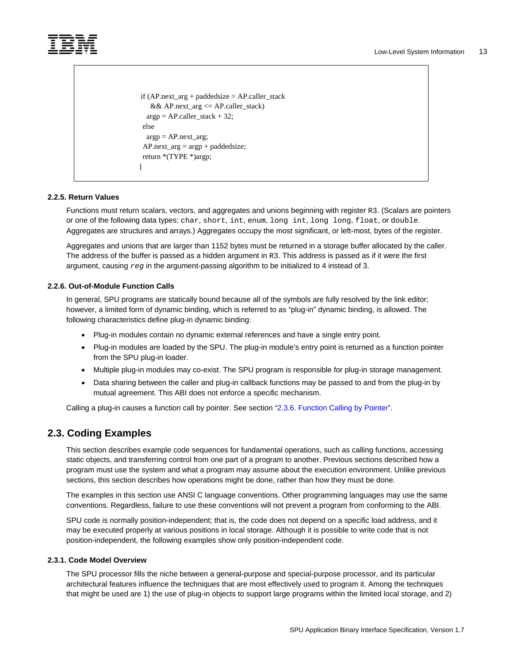<span id="page-20-0"></span>

```
 if (AP.next_arg + paddedsize > AP.caller_stack 
    && AP.next_arg <= AP.caller_stack) 
  \text{argp} = \text{AP}.\text{caller\_stack} + 32; else 
  argp = AP.next_{arg}; AP.next_arg = argp + paddedsize; 
  return *(TYPE *)argp; 
}
```
## **2.2.5. Return Values**

Functions must return scalars, vectors, and aggregates and unions beginning with register R3. (Scalars are pointers or one of the following data types: char, short, int, enum, long int, long long, float, or double. Aggregates are structures and arrays.) Aggregates occupy the most significant, or left-most, bytes of the register.

Aggregates and unions that are larger than 1152 bytes must be returned in a storage buffer allocated by the caller. The address of the buffer is passed as a hidden argument in R3. This address is passed as if it were the first argument, causing *reg* in the argument-passing algorithm to be initialized to 4 instead of 3.

## **2.2.6. Out-of-Module Function Calls**

In general, SPU programs are statically bound because all of the symbols are fully resolved by the link editor; however, a limited form of dynamic binding, which is referred to as "plug-in" dynamic binding, is allowed. The following characteristics define plug-in dynamic binding:

- Plug-in modules contain no dynamic external references and have a single entry point.
- Plug-in modules are loaded by the SPU. The plug-in module's entry point is returned as a function pointer from the SPU plug-in loader.
- Multiple plug-in modules may co-exist. The SPU program is responsible for plug-in storage management.
- Data sharing between the caller and plug-in callback functions may be passed to and from the plug-in by mutual agreement. This ABI does not enforce a specific mechanism.

Calling a plug-in causes a function call by pointer. See section ["2.3.6. Function Calling by Pointer](#page-24-1)".

## **2.3. Coding Examples**

This section describes example code sequences for fundamental operations, such as calling functions, accessing static objects, and transferring control from one part of a program to another. Previous sections described how a program must use the system and what a program may assume about the execution environment. Unlike previous sections, this section describes how operations might be done, rather than how they must be done.

The examples in this section use ANSI C language conventions. Other programming languages may use the same conventions. Regardless, failure to use these conventions will not prevent a program from conforming to the ABI.

SPU code is normally position-independent; that is, the code does not depend on a specific load address, and it may be executed properly at various positions in local storage. Although it is possible to write code that is not position-independent, the following examples show only position-independent code.

## **2.3.1. Code Model Overview**

The SPU processor fills the niche between a general-purpose and special-purpose processor, and its particular architectural features influence the techniques that are most effectively used to program it. Among the techniques that might be used are 1) the use of plug-in objects to support large programs within the limited local storage, and 2)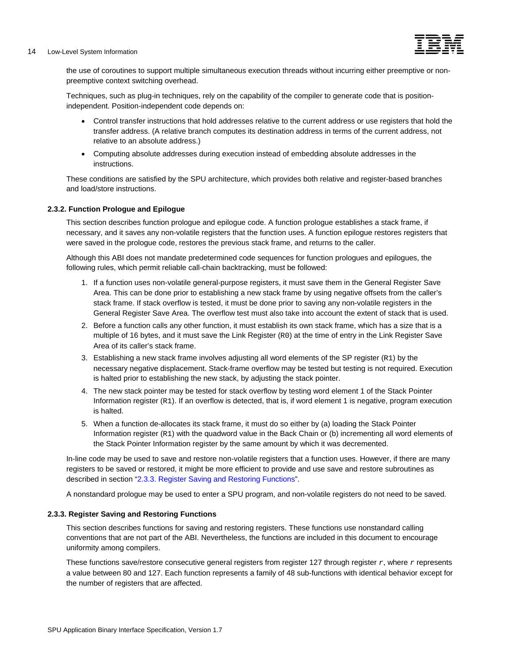# <span id="page-21-0"></span>14 Low-Level System Information -



the use of coroutines to support multiple simultaneous execution threads without incurring either preemptive or nonpreemptive context switching overhead.

Techniques, such as plug-in techniques, rely on the capability of the compiler to generate code that is positionindependent. Position-independent code depends on:

- Control transfer instructions that hold addresses relative to the current address or use registers that hold the transfer address. (A relative branch computes its destination address in terms of the current address, not relative to an absolute address.)
- Computing absolute addresses during execution instead of embedding absolute addresses in the instructions.

These conditions are satisfied by the SPU architecture, which provides both relative and register-based branches and load/store instructions.

### **2.3.2. Function Prologue and Epilogue**

This section describes function prologue and epilogue code. A function prologue establishes a stack frame, if necessary, and it saves any non-volatile registers that the function uses. A function epilogue restores registers that were saved in the prologue code, restores the previous stack frame, and returns to the caller.

Although this ABI does not mandate predetermined code sequences for function prologues and epilogues, the following rules, which permit reliable call-chain backtracking, must be followed:

- 1. If a function uses non-volatile general-purpose registers, it must save them in the General Register Save Area. This can be done prior to establishing a new stack frame by using negative offsets from the caller's stack frame. If stack overflow is tested, it must be done prior to saving any non-volatile registers in the General Register Save Area. The overflow test must also take into account the extent of stack that is used.
- 2. Before a function calls any other function, it must establish its own stack frame, which has a size that is a multiple of 16 bytes, and it must save the Link Register (R0) at the time of entry in the Link Register Save Area of its caller's stack frame.
- 3. Establishing a new stack frame involves adjusting all word elements of the SP register (R1) by the necessary negative displacement. Stack-frame overflow may be tested but testing is not required. Execution is halted prior to establishing the new stack, by adjusting the stack pointer.
- 4. The new stack pointer may be tested for stack overflow by testing word element 1 of the Stack Pointer Information register (R1). If an overflow is detected, that is, if word element 1 is negative, program execution is halted.
- 5. When a function de-allocates its stack frame, it must do so either by (a) loading the Stack Pointer Information register (R1) with the quadword value in the Back Chain or (b) incrementing all word elements of the Stack Pointer Information register by the same amount by which it was decremented.

In-line code may be used to save and restore non-volatile registers that a function uses. However, if there are many registers to be saved or restored, it might be more efficient to provide and use save and restore subroutines as described in section ["2.3.3. Register Saving and Restoring Functions](#page-21-1)".

A nonstandard prologue may be used to enter a SPU program, and non-volatile registers do not need to be saved.

### <span id="page-21-1"></span>**2.3.3. Register Saving and Restoring Functions**

This section describes functions for saving and restoring registers. These functions use nonstandard calling conventions that are not part of the ABI. Nevertheless, the functions are included in this document to encourage uniformity among compilers.

These functions save/restore consecutive general registers from register 127 through register *r*, where *r* represents a value between 80 and 127. Each function represents a family of 48 sub-functions with identical behavior except for the number of registers that are affected.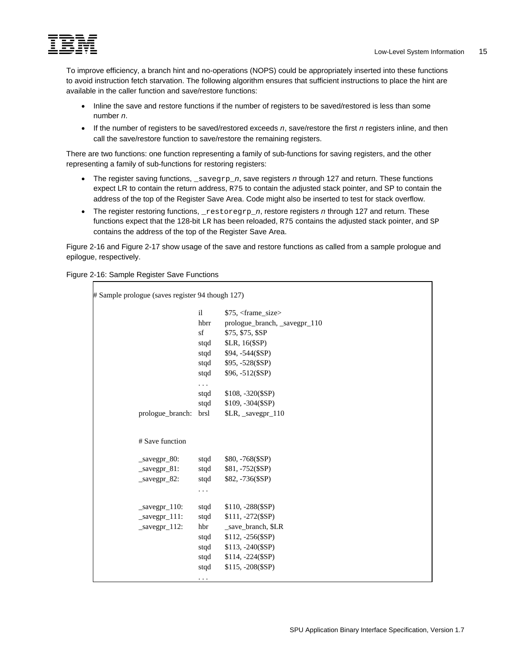<span id="page-22-0"></span>

To improve efficiency, a branch hint and no-operations (NOPS) could be appropriately inserted into these functions to avoid instruction fetch starvation. The following algorithm ensures that sufficient instructions to place the hint are available in the caller function and save/restore functions:

- Inline the save and restore functions if the number of registers to be saved/restored is less than some number *n*.
- If the number of registers to be saved/restored exceeds *n*, save/restore the first *n* registers inline, and then call the save/restore function to save/restore the remaining registers.

There are two functions: one function representing a family of sub-functions for saving registers, and the other representing a family of sub-functions for restoring registers:

- The register saving functions, \_savegrp\_*n*, save registers *n* through 127 and return. These functions expect LR to contain the return address, R75 to contain the adjusted stack pointer, and SP to contain the address of the top of the Register Save Area. Code might also be inserted to test for stack overflow.
- The register restoring functions, \_restoregrp\_*n*, restore registers *n* through 127 and return. These functions expect that the 128-bit LR has been reloaded, R75 contains the adjusted stack pointer, and SP contains the address of the top of the Register Save Area.

[Figure 2-16](#page-22-1) and [Figure 2-17](#page-23-1) show usage of the save and restore functions as called from a sample prologue and epilogue, respectively.

<span id="page-22-1"></span>Figure 2-16: Sample Register Save Functions

```
# Sample prologue (saves register 94 though 127) 
               prologue_branch: 
brsl 
                                  il 
                                  hbrr 
                                  sf 
                                  stqd 
                                  stqd 
                                  stqd 
                                  stqd 
                                  . . . 
                                  stqd 
                                  stad
                                           $75, <frame_size> 
                                           prologue_branch, _savegpr_110 
                                           $75, $75, $SP 
                                           $LR, 16($SP) 
                                           $94, -544($SP) 
                                           $95, -528($SP) 
                                           $96, -512($SP) 
                                           $108, -320($SP) 
                                           $109, -304($SP) 
                                           $LR, _savegpr_110 
              # Save function 
              _savegpr_80: 
              _savegpr_81: 
              _savegpr_82: 
                                  stqd 
                                  stqd 
                                  stqd 
                                  . . . 
                                           $80, -768($SP) 
                                           $81, -752($SP) 
                                           $82, -736($SP) 
              _savegpr_110: 
              _savegpr_111: 
              _savegpr_112: 
                                  stqd 
                                  stqd 
                                  hbr 
                                  stqd 
                                  stqd 
                                  stqd 
                                  stqd 
                                   . . . 
                                           $110, -288($SP) 
                                           $111, -272($SP) 
                                           _save_branch, $LR 
                                           $112, -256($SP) 
                                           $113, -240($SP) 
                                           $114, -224($SP) 
                                           $115, -208($SP)
```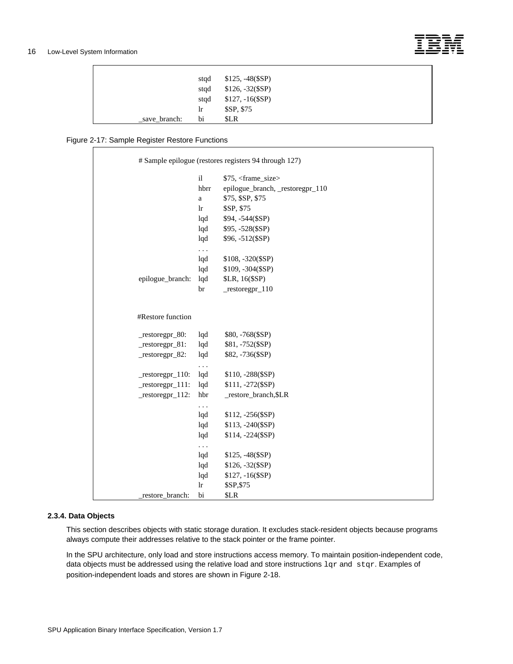<span id="page-23-0"></span> $\Gamma$ 



|              |     | $std$ \$125, -48(\$SP) |  |
|--------------|-----|------------------------|--|
|              |     | $std$ \$126, -32(\$SP) |  |
|              |     | stqd $$127, -16 ($SP)$ |  |
|              | lr. | SSP, \$75              |  |
| save branch: | bi  | <b>SLR</b>             |  |

<span id="page-23-1"></span>Figure 2-17: Sample Register Restore Functions

|                          | $\mathrm{i} \mathbf{l}$ | \$75, <frame_size></frame_size>  |
|--------------------------|-------------------------|----------------------------------|
|                          | hbrr                    | epilogue_branch, _restoregpr_110 |
|                          | a                       | \$75, \$SP, \$75                 |
|                          | $\ln$                   | \$SP, \$75                       |
|                          | lqd                     | \$94, -544(\$SP)                 |
|                          | lqd                     | \$95, -528(\$SP)                 |
|                          | lqd                     | \$96, -512(\$SP)                 |
|                          | $\ddotsc$               |                                  |
|                          | lqd                     | \$108, -320(\$SP)                |
|                          | lqd                     | \$109, -304(\$SP)                |
| epilogue_branch:         | lqd                     | \$LR, 16(\$SP)                   |
|                          | br                      | $_r$ restoregpr $_110$           |
| #Restore function        |                         |                                  |
| _restoregpr_80:          | lqd                     | \$80, -768(\$SP)                 |
| $_restoregpr_81$ :       | lqd                     | \$81, -752(\$SP)                 |
| _restoregpr_82:          | lqd                     | \$82, -736(\$SP)                 |
|                          | $\ldots$                |                                  |
| $_restoregpr_110$ :      | lqd                     | \$110, -288(\$SP)                |
| _restoregpr_111:         | lqd                     | \$111, -272(\$SP)                |
| $_r$ restoregpr $_1$ 12: | hbr                     | _restore_branch,\$LR             |
|                          | $\ddotsc$               |                                  |
|                          | lqd                     | $$112, -256(SSP)$                |
|                          | lqd                     | \$113, -240(\$SP)                |
|                          | lqd                     | \$114, -224(\$SP)                |
|                          | $\ddotsc$<br>lqd        | \$125, -48(\$SP)                 |
|                          | lqd                     | $$126, -32 ($SP)$                |
|                          | lqd                     | $$127, -16(SSP)$                 |
|                          | $\ln$                   | \$SP, \$75                       |
| restore_branch:          | bi                      | \$LR                             |

## **2.3.4. Data Objects**

This section describes objects with static storage duration. It excludes stack-resident objects because programs always compute their addresses relative to the stack pointer or the frame pointer.

In the SPU architecture, only load and store instructions access memory. To maintain position-independent code, data objects must be addressed using the relative load and store instructions  $1qr$  and  $stqr$ . Examples of position-independent loads and stores are shown in [Figure 2-18](#page-24-2).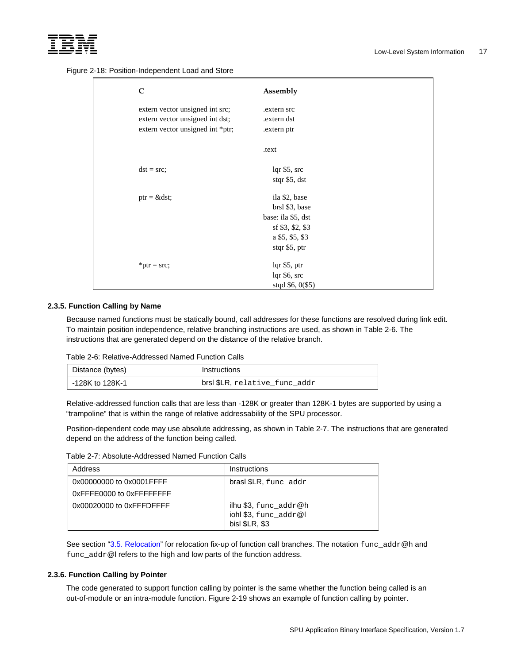<span id="page-24-2"></span><span id="page-24-0"></span>

Figure 2-18: Position-Independent Load and Store

| $\overline{\mathsf{C}}$          | <b>Assembly</b>    |
|----------------------------------|--------------------|
| extern vector unsigned int src;  | .extern src        |
| extern vector unsigned int dst;  | .extern dst        |
| extern vector unsigned int *ptr; | .extern ptr        |
|                                  | .text              |
| $dst = src;$                     | lqr \$5, src       |
|                                  | stqr \$5, dst      |
| $ptr = \&dst$                    | ila \$2, base      |
|                                  | brsl \$3, base     |
|                                  | base: ila \$5, dst |
|                                  | sf \$3, \$2, \$3   |
|                                  | a \$5, \$5, \$3    |
|                                  | stqr \$5, ptr      |
| *ptr = $src$ ;                   | $1qr$ \$5, ptr     |
|                                  | lqr \$6, src       |
|                                  | stqd \$6, 0(\$5)   |

### **2.3.5. Function Calling by Name**

Because named functions must be statically bound, call addresses for these functions are resolved during link edit. To maintain position independence, relative branching instructions are used, as shown in [Table 2-6](#page-24-3). The instructions that are generated depend on the distance of the relative branch.

<span id="page-24-3"></span>Table 2-6: Relative-Addressed Named Function Calls

| Distance (bytes) | Instructions                |
|------------------|-----------------------------|
| -128K to 128K-1  | brs SLR, relative func addr |

Relative-addressed function calls that are less than -128K or greater than 128K-1 bytes are supported by using a "trampoline" that is within the range of relative addressability of the SPU processor.

Position-dependent code may use absolute addressing, as shown in [Table 2-7](#page-24-4). The instructions that are generated depend on the address of the function being called.

| Address                                              | Instructions                                                                  |
|------------------------------------------------------|-------------------------------------------------------------------------------|
| 0x00000000 to 0x0001FFFF<br>0xFFFE0000 to 0xFFFFFFFF | brasl \$LR, func addr                                                         |
| 0x00020000 to 0xFFFDFFFF                             | ilhu $$3$ , func $\text{addr@h}$<br>iohl \$3, func_addr@l<br>bisl $SLR$ , \$3 |

<span id="page-24-4"></span>Table 2-7: Absolute-Addressed Named Function Calls

See section "[3.5. Relocation"](#page-30-1) for relocation fix-up of function call branches. The notation  $func\_addr@h$  and func\_addr@l refers to the high and low parts of the function address.

## <span id="page-24-1"></span>**2.3.6. Function Calling by Pointer**

The code generated to support function calling by pointer is the same whether the function being called is an out-of-module or an intra-module function. [Figure 2-19](#page-25-1) shows an example of function calling by pointer.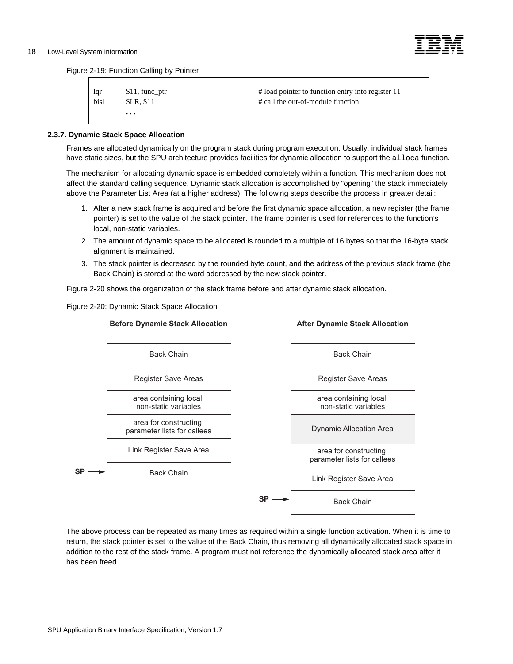

<span id="page-25-1"></span><span id="page-25-0"></span>Figure 2-19: Function Calling by Pointer



#### **2.3.7. Dynamic Stack Space Allocation**

Frames are allocated dynamically on the program stack during program execution. Usually, individual stack frames have static sizes, but the SPU architecture provides facilities for dynamic allocation to support the alloca function.

The mechanism for allocating dynamic space is embedded completely within a function. This mechanism does not affect the standard calling sequence. Dynamic stack allocation is accomplished by "opening" the stack immediately above the Parameter List Area (at a higher address). The following steps describe the process in greater detail:

- 1. After a new stack frame is acquired and before the first dynamic space allocation, a new register (the frame pointer) is set to the value of the stack pointer. The frame pointer is used for references to the function's local, non-static variables.
- 2. The amount of dynamic space to be allocated is rounded to a multiple of 16 bytes so that the 16-byte stack alignment is maintained.
- 3. The stack pointer is decreased by the rounded byte count, and the address of the previous stack frame (the Back Chain) is stored at the word addressed by the new stack pointer.

[Figure 2-20](#page-25-2) shows the organization of the stack frame before and after dynamic stack allocation.

<span id="page-25-2"></span>



The above process can be repeated as many times as required within a single function activation. When it is time to return, the stack pointer is set to the value of the Back Chain, thus removing all dynamically allocated stack space in addition to the rest of the stack frame. A program must not reference the dynamically allocated stack area after it has been freed.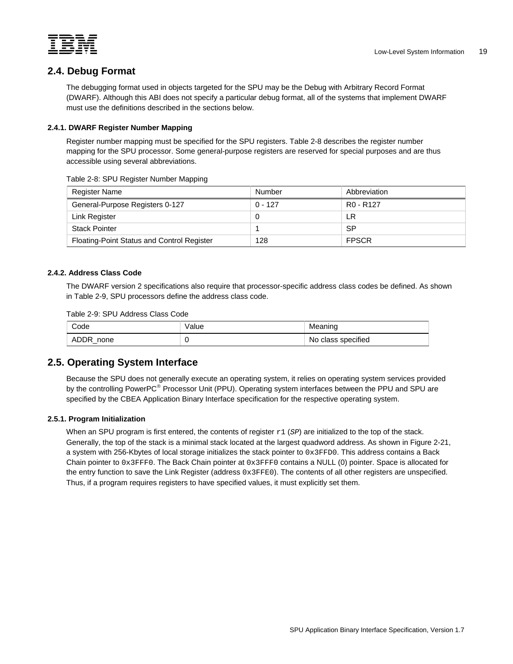<span id="page-26-0"></span>

## **2.4. Debug Format**

The debugging format used in objects targeted for the SPU may be the Debug with Arbitrary Record Format (DWARF). Although this ABI does not specify a particular debug format, all of the systems that implement DWARF must use the definitions described in the sections below.

## **2.4.1. DWARF Register Number Mapping**

Register number mapping must be specified for the SPU registers. [Table 2-8](#page-26-1) describes the register number mapping for the SPU processor. Some general-purpose registers are reserved for special purposes and are thus accessible using several abbreviations.

| Register Name                              | Number    | Abbreviation                      |
|--------------------------------------------|-----------|-----------------------------------|
| General-Purpose Registers 0-127            | $0 - 127$ | R <sub>0</sub> - R <sub>127</sub> |
| Link Register                              |           | LR                                |
| <b>Stack Pointer</b>                       |           | SP                                |
| Floating-Point Status and Control Register | 128       | <b>FPSCR</b>                      |

<span id="page-26-1"></span>Table 2-8: SPU Register Number Mapping

## <span id="page-26-2"></span>**2.4.2. Address Class Code**

The DWARF version 2 specifications also require that processor-specific address class codes be defined. As shown in [Table 2-9,](#page-26-2) SPU processors define the address class code.

| Code                | Value | Meaning            |
|---------------------|-------|--------------------|
| <b>ADDR</b><br>none |       | No class specified |

## **2.5. Operating System Interface**

Because the SPU does not generally execute an operating system, it relies on operating system services provided by the controlling PowerPC<sup>®</sup> Processor Unit (PPU). Operating system interfaces between the PPU and SPU are specified by the CBEA Application Binary Interface specification for the respective operating system.

### **2.5.1. Program Initialization**

When an SPU program is first entered, the contents of register  $r1$  ( $SP$ ) are initialized to the top of the stack. Generally, the top of the stack is a minimal stack located at the largest quadword address. As shown in [Figure 2-21,](#page-27-1) a system with 256-Kbytes of local storage initializes the stack pointer to 0x3FFD0. This address contains a Back Chain pointer to  $0x3FFF0$ . The Back Chain pointer at  $0x3FFF0$  contains a NULL (0) pointer. Space is allocated for the entry function to save the Link Register (address 0x3FFE0). The contents of all other registers are unspecified. Thus, if a program requires registers to have specified values, it must explicitly set them.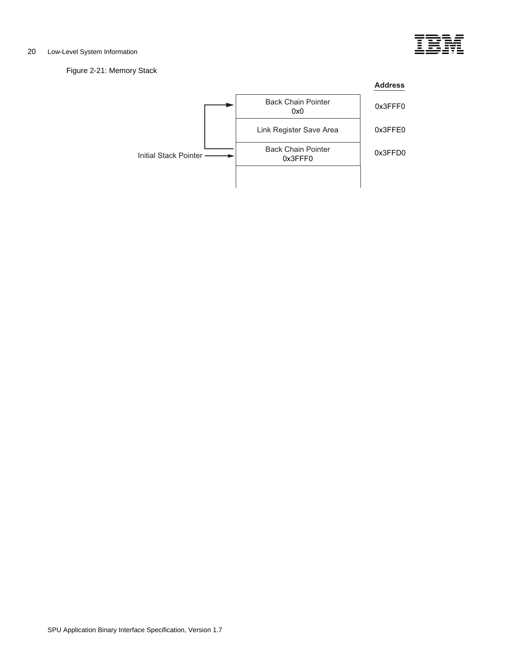# <span id="page-27-1"></span><span id="page-27-0"></span>20 Low-Level System Information -



Figure 2-21: Memory Stack

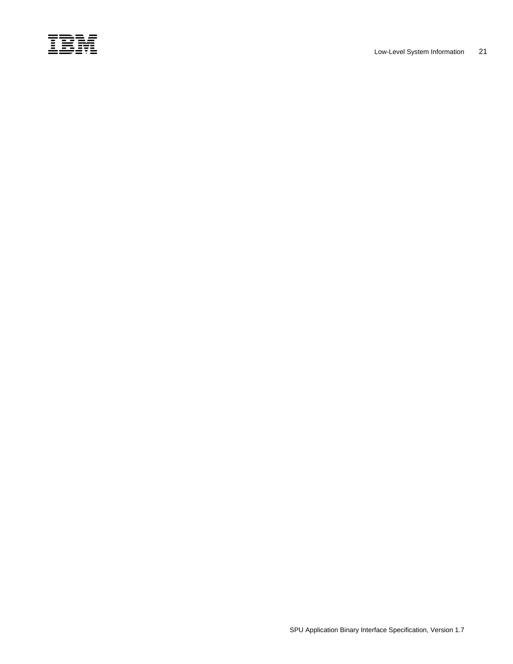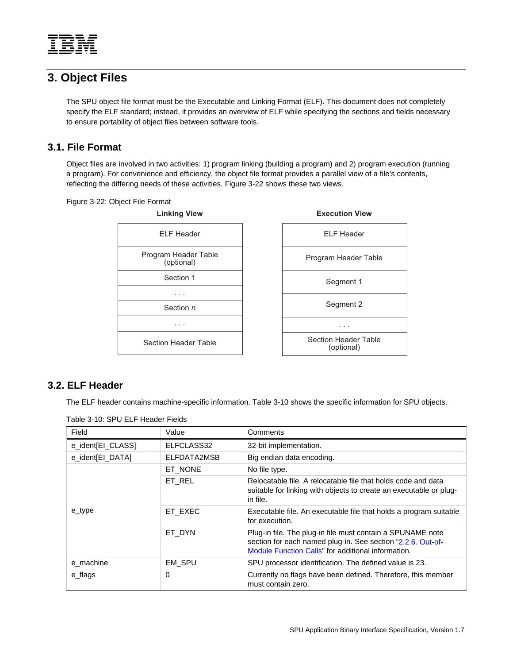<span id="page-29-0"></span>

# <span id="page-29-3"></span>**3. Object Files**

The SPU object file format must be the Executable and Linking Format (ELF). This document does not completely specify the ELF standard; instead, it provides an overview of ELF while specifying the sections and fields necessary to ensure portability of object files between software tools.

## **3.1. File Format**

Object files are involved in two activities: 1) program linking (building a program) and 2) program execution (running a program). For convenience and efficiency, the object file format provides a parallel view of a file's contents, reflecting the differing needs of these activities. [Figure 3-22](#page-29-1) shows these two views.

<span id="page-29-1"></span>





## <span id="page-29-2"></span>**3.2. ELF Header**

The ELF header contains machine-specific information. [Table 3-10](#page-29-2) shows the specific information for SPU objects.

| Field             | Value       | Comments                                                                                                                                                                        |
|-------------------|-------------|---------------------------------------------------------------------------------------------------------------------------------------------------------------------------------|
| e_ident[EI_CLASS] | ELFCLASS32  | 32-bit implementation.                                                                                                                                                          |
| e_ident[EI_DATA]  | ELFDATA2MSB | Big endian data encoding.                                                                                                                                                       |
|                   | ET NONE     | No file type.                                                                                                                                                                   |
| e type            | ET REL      | Relocatable file. A relocatable file that holds code and data<br>suitable for linking with objects to create an executable or plug-<br>in file.                                 |
|                   | ET_EXEC     | Executable file. An executable file that holds a program suitable<br>for execution.                                                                                             |
|                   | ET DYN      | Plug-in file. The plug-in file must contain a SPUNAME note<br>section for each named plug-in. See section "2.2.6. Out-of-<br>Module Function Calls" for additional information. |
| e machine         | EM_SPU      | SPU processor identification. The defined value is 23.                                                                                                                          |
| e flags           | 0           | Currently no flags have been defined. Therefore, this member<br>must contain zero.                                                                                              |

Table 3-10: SPU ELF Header Fields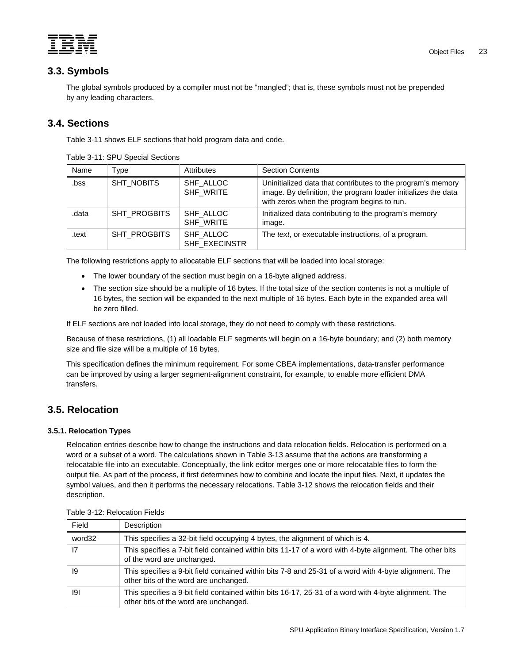<span id="page-30-0"></span>

## **3.3. Symbols**

The global symbols produced by a compiler must not be "mangled"; that is, these symbols must not be prepended by any leading characters.

## <span id="page-30-2"></span>**3.4. Sections**

[Table 3-11](#page-30-2) shows ELF sections that hold program data and code.

| Name  | Type         | <b>Attributes</b>          | <b>Section Contents</b>                                                                                                                                                    |
|-------|--------------|----------------------------|----------------------------------------------------------------------------------------------------------------------------------------------------------------------------|
| .bss  | SHT_NOBITS   | SHF_ALLOC<br>SHF_WRITE     | Uninitialized data that contributes to the program's memory<br>image. By definition, the program loader initializes the data<br>with zeros when the program begins to run. |
| .data | SHT PROGBITS | SHF ALLOC<br>SHF WRITE     | Initialized data contributing to the program's memory<br>image.                                                                                                            |
| .text | SHT PROGBITS | SHF_ALLOC<br>SHF_EXECINSTR | The <i>text</i> , or executable instructions, of a program.                                                                                                                |

Table 3-11: SPU Special Sections

The following restrictions apply to allocatable ELF sections that will be loaded into local storage:

- The lower boundary of the section must begin on a 16-byte aligned address.
- The section size should be a multiple of 16 bytes. If the total size of the section contents is not a multiple of 16 bytes, the section will be expanded to the next multiple of 16 bytes. Each byte in the expanded area will be zero filled.

If ELF sections are not loaded into local storage, they do not need to comply with these restrictions.

Because of these restrictions, (1) all loadable ELF segments will begin on a 16-byte boundary; and (2) both memory size and file size will be a multiple of 16 bytes.

This specification defines the minimum requirement. For some CBEA implementations, data-transfer performance can be improved by using a larger segment-alignment constraint, for example, to enable more efficient DMA transfers.

## <span id="page-30-1"></span>**3.5. Relocation**

### **3.5.1. Relocation Types**

Relocation entries describe how to change the instructions and data relocation fields. Relocation is performed on a word or a subset of a word. The calculations shown in [Table 3-13](#page-31-1) assume that the actions are transforming a relocatable file into an executable. Conceptually, the link editor merges one or more relocatable files to form the output file. As part of the process, it first determines how to combine and locate the input files. Next, it updates the symbol values, and then it performs the necessary relocations. [Table 3-12](#page-30-3) shows the relocation fields and their description.

| Field  | Description                                                                                                                                    |
|--------|------------------------------------------------------------------------------------------------------------------------------------------------|
| word32 | This specifies a 32-bit field occupying 4 bytes, the alignment of which is 4.                                                                  |
|        | This specifies a 7-bit field contained within bits 11-17 of a word with 4-byte alignment. The other bits<br>of the word are unchanged.         |
| -19    | This specifies a 9-bit field contained within bits 7-8 and 25-31 of a word with 4-byte alignment. The<br>other bits of the word are unchanged. |
| 9      | This specifies a 9-bit field contained within bits 16-17, 25-31 of a word with 4-byte alignment. The<br>other bits of the word are unchanged.  |

<span id="page-30-3"></span>Table 3-12: Relocation Fields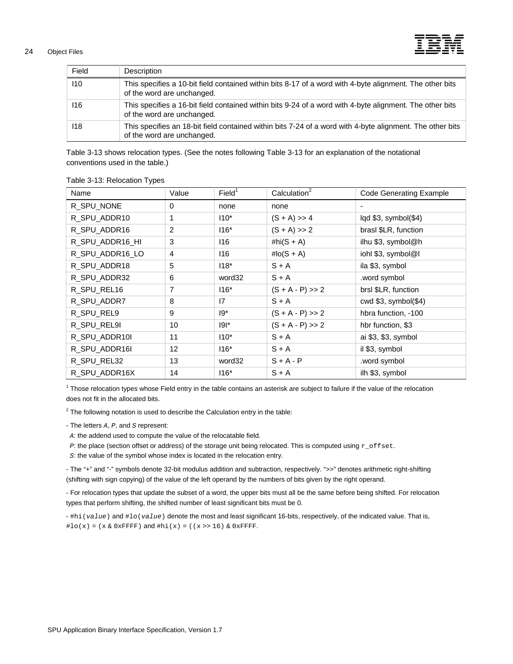

<span id="page-31-0"></span>

| Field | Description                                                                                                                             |
|-------|-----------------------------------------------------------------------------------------------------------------------------------------|
| 110   | This specifies a 10-bit field contained within bits 8-17 of a word with 4-byte alignment. The other bits<br>of the word are unchanged.  |
| 116   | This specifies a 16-bit field contained within bits 9-24 of a word with 4-byte alignment. The other bits<br>of the word are unchanged.  |
| 118   | This specifies an 18-bit field contained within bits 7-24 of a word with 4-byte alignment. The other bits<br>of the word are unchanged. |

[Table 3-13](#page-31-1) shows relocation types. (See the notes following [Table 3-13](#page-31-1) for an explanation of the notational conventions used in the table.)

| Name            | Value          | Field <sup>1</sup> | Calculation $2$    | <b>Code Generating Example</b> |
|-----------------|----------------|--------------------|--------------------|--------------------------------|
| R_SPU_NONE      | 0              | none               | none               |                                |
| R SPU ADDR10    | 1              | $110^*$            | $(S + A) >> 4$     | lqd \$3, symbol(\$4)           |
| R_SPU_ADDR16    | $\overline{2}$ | $116*$             | $(S + A) >> 2$     | brasl \$LR, function           |
| R_SPU_ADDR16_HI | 3              | 116                | #hi( $S + A$ )     | ilhu \$3, symbol@h             |
| R_SPU_ADDR16_LO | 4              | 116                | # $lo(S + A)$      | iohl \$3, symbol@l             |
| R_SPU_ADDR18    | 5              | $118*$             | $S + A$            | ila \$3, symbol                |
| R_SPU_ADDR32    | 6              | word32             | $S + A$            | .word symbol                   |
| R SPU REL16     | 7              | $116*$             | $(S + A - P) >> 2$ | brsl \$LR, function            |
| R_SPU_ADDR7     | 8              | 17                 | $S + A$            | cwd $$3, symbol ($4)$          |
| R_SPU_REL9      | 9              | $19*$              | $(S + A - P) >> 2$ | hbra function, -100            |
| R SPU REL9I     | 10             | $ 9 ^*$            | $(S + A - P) >> 2$ | hbr function, \$3              |
| R_SPU_ADDR10I   | 11             | $110^*$            | $S + A$            | ai \$3, \$3, symbol            |
| R_SPU_ADDR16I   | 12             | $116*$             | $S + A$            | il \$3, symbol                 |
| R_SPU_REL32     | 13             | word32             | $S + A - P$        | .word symbol                   |
| R_SPU_ADDR16X   | 14             | $116*$             | $S + A$            | ilh \$3, symbol                |

### <span id="page-31-1"></span>Table 3-13: Relocation Types

<sup>1</sup> Those relocation types whose Field entry in the table contains an asterisk are subject to failure if the value of the relocation does not fit in the allocated bits.

 $2$  The following notation is used to describe the Calculation entry in the table:

- The letters *A*, *P*, and *S* represent:

*A*: the addend used to compute the value of the relocatable field.

*P*: the place (section offset or address) of the storage unit being relocated. This is computed using  $r_{\text{o}}$  of fset.

*S*: the value of the symbol whose index is located in the relocation entry.

- The "+" and "-" symbols denote 32-bit modulus addition and subtraction, respectively. ">>" denotes arithmetic right-shifting (shifting with sign copying) of the value of the left operand by the numbers of bits given by the right operand.

- For relocation types that update the subset of a word, the upper bits must all be the same before being shifted. For relocation types that perform shifting, the shifted number of least significant bits must be 0.

- #hi(*value*) and #lo(*value*) denote the most and least significant 16-bits, respectively, of the indicated value. That is,  $#lo(x) = (x & 0xFFFF)$  and  $#hi(x) = ((x >> 16) & 0xFFFF.$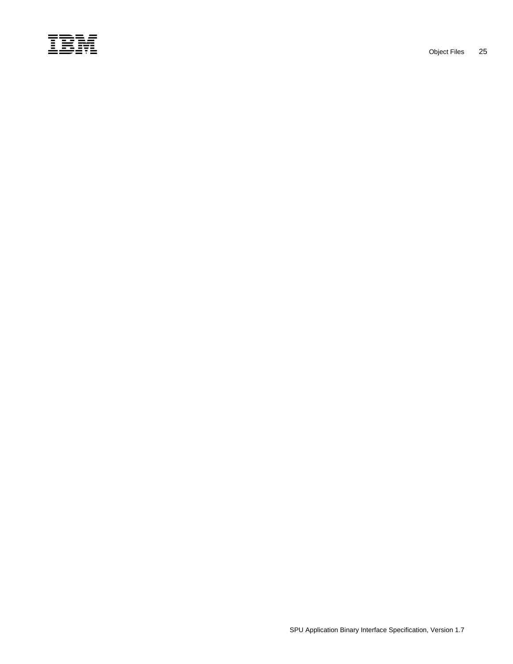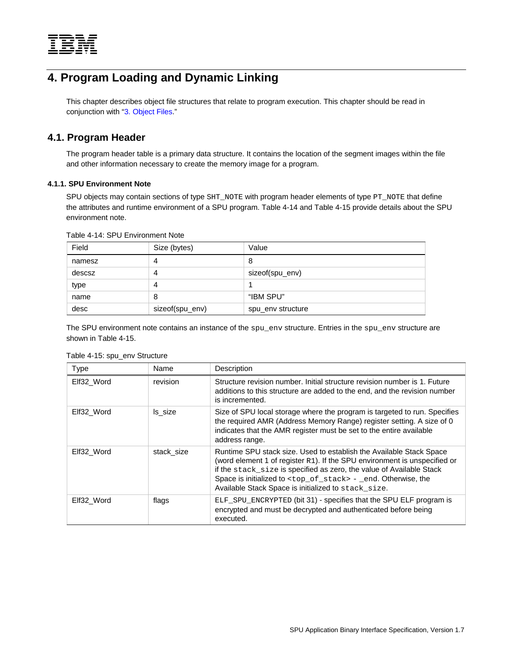<span id="page-33-0"></span>

## **4. Program Loading and Dynamic Linking**

This chapter describes object file structures that relate to program execution. This chapter should be read in conjunction with ["3. Object Files.](#page-29-3)"

## **4.1. Program Header**

The program header table is a primary data structure. It contains the location of the segment images within the file and other information necessary to create the memory image for a program.

## **4.1.1. SPU Environment Note**

SPU objects may contain sections of type SHT\_NOTE with program header elements of type PT\_NOTE that define the attributes and runtime environment of a SPU program. [Table 4-14](#page-33-1) and [Table 4-15](#page-33-2) provide details about the SPU environment note.

| Field  | Size (bytes)    | Value             |
|--------|-----------------|-------------------|
| namesz |                 | 8                 |
| descsz | 4               | sizeof(spu_env)   |
| type   |                 |                   |
| name   | 8               | "IBM SPU"         |
| desc   | sizeof(spu_env) | spu_env structure |

<span id="page-33-1"></span>Table 4-14: SPU Environment Note

The SPU environment note contains an instance of the spu\_env structure. Entries in the spu\_env structure are shown in [Table 4-15.](#page-33-2)

<span id="page-33-2"></span>

| Table 4-15: spu_env Structure |  |
|-------------------------------|--|
|-------------------------------|--|

| Type       | Name       | Description                                                                                                                                                                                                                                                                                                                                                      |
|------------|------------|------------------------------------------------------------------------------------------------------------------------------------------------------------------------------------------------------------------------------------------------------------------------------------------------------------------------------------------------------------------|
| Elf32 Word | revision   | Structure revision number. Initial structure revision number is 1. Future<br>additions to this structure are added to the end, and the revision number<br>is incremented.                                                                                                                                                                                        |
| Elf32 Word | Is size    | Size of SPU local storage where the program is targeted to run. Specifies<br>the required AMR (Address Memory Range) register setting. A size of 0<br>indicates that the AMR register must be set to the entire available<br>address range.                                                                                                                      |
| Elf32_Word | stack size | Runtime SPU stack size. Used to establish the Available Stack Space<br>(word element 1 of register R1). If the SPU environment is unspecified or<br>if the stack_size is specified as zero, the value of Available Stack<br>Space is initialized to <top_of_stack> - _end. Otherwise, the<br/>Available Stack Space is initialized to stack size.</top_of_stack> |
| Elf32_Word | flags      | ELF_SPU_ENCRYPTED (bit 31) - specifies that the SPU ELF program is<br>encrypted and must be decrypted and authenticated before being<br>executed.                                                                                                                                                                                                                |